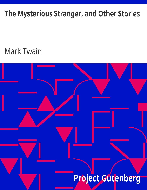# The Mysterious Stranger, and Other Stories

# **Mark Twain**

# Project Gutenberg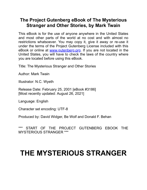### **The Project Gutenberg eBook of The Mysterous Stranger and Other Stories, by Mark Twain**

This eBook is for the use of anyone anywhere in the United States and most other parts of the world at no cost and with almost no restrictions whatsoever. You may copy it, give it away or re-use it under the terms of the Project Gutenberg License included with this eBook or online at [www.gutenberg.org.](https://www.gutenberg.org/) If you are not located in the United States, you will have to check the laws of the country where you are located before using this eBook.

Title: The Mysterious Stranger and Other Stories

Author: Mark Twain

Illustrator: N.C. Wyeth

Release Date: February 25, 2001 [eBook #3186] [Most recently updated: August 26, 2021]

Language: English

Character set encoding: UTF-8

Produced by: David Widger, Be Wolf and Donald F. Behan

START OF THE PROJECT GUTENBERG EBOOK THE MYSTERIOUS STRANGER \*\*\*

# **THE MYSTERIOUS STRANGER**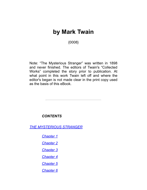## **by** Mark Twain

{0008}

Note: "The Mysterious Stranger" was written in 1898 and never finished. The editors of Twain's "Collected Works" completed the story prior to publication. At what point in this work Twain left off and where the editor's began is not made clear in the print copy used as the basis of this eBook.

*CONTENTS*

*[THE MYSTERIOUS STRANGER](#page-3-0)*

*[Chapter 1](#page-4-0)*

- *[Chapter 2](#page-8-0)*
- *[Chapter 3](#page-16-0)*
- *[Chapter 4](#page-25-0)*
- *[Chapter 5](#page-29-0)*
- *[Chapter 6](#page-40-0)*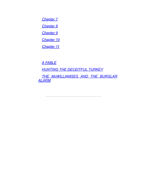*[Chapter 7](#page-51-0)*

*[Chapter 8](#page-67-0)*

*[Chapter 9](#page-86-0)*

*[Chapter 10](#page-91-0)*

*[Chapter 11](#page-103-0)*

*[A FABLE](#page-107-0)*

*[HUNTING THE DECEITFUL TURKEY](#page-110-0)*

<span id="page-3-0"></span>*[THE McWILLIAMSES AND THE BURGLAR](#page-113-0) ALARM*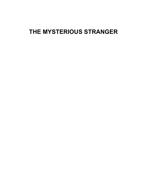## <span id="page-4-0"></span>**THE MYSTERIOUS STRANGER**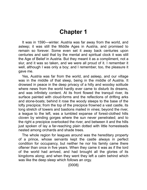# **Chapter 1**

It was in 1590—winter. Austria was far away from the world, and asleep; it was still the Middle Ages in Austria, and promised to remain so forever. Some even set it away back centuries upon centuries and said that by the mental and spiritual clock it was still the Age of Belief in Austria. But they meant it as a compliment, not a slur, and it was so taken, and we were all proud of it. I remember it well, although I was only a boy; and I remember, too, the pleasure it gave me.

Yes, Austria was far from the world, and asleep, and our village was in the middle of that sleep, being in the middle of Austria. It drowsed in peace in the deep privacy of a hilly and woodsy solitude where news from the world hardly ever came to disturb its dreams, and was infinitely content. At its front flowed the tranquil river, its surface painted with cloud-forms and the reflections of drifting arks and stone-boats; behind it rose the woody steeps to the base of the lofty precipice; from the top of the precipice frowned a vast castle, its long stretch of towers and bastions mailed in vines; beyond the river, a league to the left, was a tumbled expanse of forest-clothed hills cloven by winding gorges where the sun never penetrated; and to the right a precipice overlooked the river, and between it and the hills just spoken of lay a far-reaching plain dotted with little homesteads nested among orchards and shade trees.

The whole region for leagues around was the hereditary property of a prince, whose servants kept the castle always in perfect condition for occupancy, but neither he nor his family came there oftener than once in five years. When they came it was as if the lord of the world had arrived, and had brought all the glories of its kingdoms along; and when they went they left a calm behind which was like the deep sleep which follows an orgy.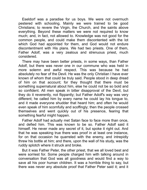Eseldorf was a paradise for us boys. We were not overmuch pestered with schooling. Mainly we were trained to be good Christians; to revere the Virgin, the Church, and the saints above everything. Beyond these matters we were not required to know much; and, in fact, not allowed to. Knowledge was not good for the common people, and could make them discontented with the lot which God had appointed for them, and God would not endure discontentment with His plans. We had two priests. One of them, Father Adolf, was a very zealous and strenuous priest, much considered.

There may have been better priests, in some ways, than Father Adolf, but there was never one in our commune who was held in more solemn and awful respect. This was because he had absolutely no fear of the Devil. He was the only Christian I have ever known of whom that could be truly said. People stood in deep dread of him on that account; for they thought that there must be something supernatural about him, else he could not be so bold and so confident. All men speak in bitter disapproval of the Devil, but they do it reverently, not flippantly; but Father Adolf's way was very different; he called him by every name he could lay his tongue to, and it made everyone shudder that heard him; and often he would even speak of him scornfully and scoffingly; then the people crossed themselves and went quickly out of his presence, fearing that something fearful might happen.

Father Adolf had actually met Satan face to face more than once, and defied him. This was known to be so. Father Adolf said it himself. He never made any secret of it, but spoke it right out. And that he was speaking true there was proof in at least one instance, for on that occasion he quarreled with the enemy, and intrepidly threw his bottle at him; and there, upon the wall of his study, was the ruddy splotch where it struck and broke.

But it was Father Peter, the other priest, that we all loved best and were sorriest for. Some people charged him with talking around in conversation that God was all goodness and would find a way to save all his poor human children. It was a horrible thing to say, but there was never any absolute proof that Father Peter said it; and it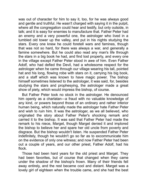was out of character for him to say it, too, for he was always good and gentle and truthful. He wasn't charged with saying it in the pulpit, where all the congregation could hear and testify, but only outside, in talk; and it is easy for enemies to manufacture that. Father Peter had an enemy and a very powerful one, the astrologer who lived in a tumbled old tower up the valley, and put in his nights studying the stars. Every one knew he could foretell wars and famines, though that was not so hard, for there was always a war, and generally a famine somewhere. But he could also read any man's life through the stars in a big book he had, and find lost property, and every one in the village except Father Peter stood in awe of him. Even Father Adolf, who had defied the Devil, had a wholesome respect for the astrologer when he came through our village wearing his tall, pointed hat and his long, flowing robe with stars on it, carrying his big book, and a staff which was known to have magic power. The bishop himself sometimes listened to the astrologer, it was said, for, besides studying the stars and prophesying, the astrologer made a great show of piety, which would impress the bishop, of course.

But Father Peter took no stock in the astrologer. He denounced him openly as a charlatan—a fraud with no valuable knowledge of any kind, or powers beyond those of an ordinary and rather inferior human being, which naturally made the astrologer hate Father Peter and wish to ruin him. It was the astrologer, as we all believed, who originated the story about Father Peter's shocking remark and carried it to the bishop. It was said that Father Peter had made the remark to his niece, Marget, though Marget denied it and implored the bishop to believe her and spare her old uncle from poverty and disgrace. But the bishop wouldn't listen. He suspended Father Peter indefinitely, though he wouldn't go so far as to excommunicate him on the evidence of only one witness; and now Father Peter had been out a couple of years, and our other priest, Father Adolf, had his flock.

Those had been hard years for the old priest and Marget. They had been favorites, but of course that changed when they came under the shadow of the bishop's frown. Many of their friends fell away entirely, and the rest became cool and distant. Marget was a lovely girl of eighteen when the trouble came, and she had the best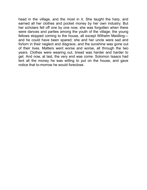<span id="page-8-0"></span>head in the village, and the most in it. She taught the harp, and earned all her clothes and pocket money by her own industry. But her scholars fell off one by one now; she was forgotten when there were dances and parties among the youth of the village; the young fellows stopped coming to the house, all except Wilhelm Meidlingand he could have been spared; she and her uncle were sad and forlorn in their neglect and disgrace, and the sunshine was gone out of their lives. Matters went worse and worse, all through the two years. Clothes were wearing out, bread was harder and harder to get. And now, at last, the very end was come. Solomon Isaacs had lent all the money he was willing to put on the house, and gave notice that to-morrow he would foreclose.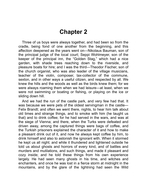### **Chapter 2**

Three of us boys were always together, and had been so from the cradle, being fond of one another from the beginning, and this affection deepened as the years went on—Nikolaus Bauman, son of the principal judge of the local court; Seppi Wohlmeyer, son of the keeper of the principal inn, the "Golden Stag," which had a nice garden, with shade trees reaching down to the riverside, and pleasure boats for hire; and I was the third—Theodor Fischer, son of the church organist, who was also leader of the village musicians, teacher of the violin, composer, tax-collector of the commune, sexton, and in other ways a useful citizen, and respected by all. We knew the hills and the woods as well as the birds knew them; for we were always roaming them when we had leisure—at least, when we were not swimming or boating or fishing, or playing on the ice or sliding down hill.

And we had the run of the castle park, and very few had that. It was because we were pets of the oldest servingman in the castle— Felix Brandt; and often we went there, nights, to hear him talk about old times and strange things, and to smoke with him (he taught us that) and to drink coffee; for he had served in the wars, and was at the siege of Vienna; and there, when the Turks were defeated and driven away, among the captured things were bags of coffee, and the Turkish prisoners explained the character of it and how to make a pleasant drink out of it, and now he always kept coffee by him, to drink himself and also to astonish the ignorant with. When it stormed he kept us all night; and while it thundered and lightened outside he told us about ghosts and horrors of every kind, and of battles and murders and mutilations, and such things, and made it pleasant and cozy inside; and he told these things from his own experience largely. He had seen many ghosts in his time, and witches and enchanters, and once he was lost in a fierce storm at midnight in the mountains, and by the glare of the lightning had seen the Wild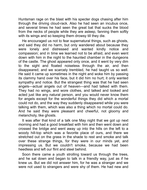Huntsman rage on the blast with his specter dogs chasing after him through the driving cloud-rack. Also he had seen an incubus once, and several tmes he had seen the great bat that sucks the blood from the necks of people while they are asleep, fanning them softly with its wings and so keeping them drowsy till they die.

He encouraged us not to fear supernatural things, such as ghosts, and said they did no harm, but only wandered about because they were lonely and distressed and wanted kindly notice and compassion; and in time we learned not to be afraid, and even went down with him in the night to the haunted chamber in the dungeons of the castle. The ghost appeared only once, and it went by very dim to the sight and floated noiseless through the air, and then disappeared; and we scarcely trembled, he had taught us so well. He said it came up sometimes in the night and woke him by passing its clammy hand over his face, but it did him no hurt; it only wanted sympathy and notice. But the strangest thing was that he had seen angels—actual angels out of heaven—and had talked wth them. They had no wings, and wore clothes, and talked and looked and acted just like any natural person, and you would never know them for angels except for the wonderful things they did which a mortal could not do, and the way they suddenly disappeared while you were talking with them, which was also a thing which no mortal could do. And he said they were pleasant and cheerful, not gloomy and melancholy, like ghosts.

It was after that kind of a talk one May night that we got up next morning and had a good breakfast with him and then went down and crossed the bridge and went away up into the hills on the left to a woody hill-top which was a favorite place of ours, and there we stretched out on the grass in the shade to rest and smoke and talk over these strange things, for they were in our minds yet, and impressing us. But we couldn't smoke, because we had been heedless and left our flint and steel behind.

Soon there came a youth strolling toward us through the trees, and he sat down and began to talk in a friendly way, just as if he knew us. But we did not answer him, for he was a stranger and we were not used to strangers and were shy of them. He had new and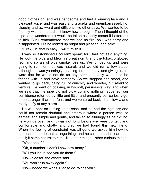good clothes on, and was handsome and had a winning face and a pleasant voice, and was easy and graceful and unembarrassed, not slouchy and awkward and diffident, like other boys. We wanted to be friendly with him, but didn't know how to begin. Then I thought of the pipe, and wondered if it would be taken as kindly meant if I offered it to him. But I remembered that we had no fire, so I was sorry and disappointed. But he looked up bright and pleased, and said:

"Fire? Oh, that is easy; I will furnish it."

I was so astonished I couldn't speak; for I had not said anything. He took the pipe and blew his breath on it, and the tobacco glowed red, and spirals of blue smoke rose up. We jumped up and were going to run, for that was natural; and we did run a few steps, although he was yearningly pleading for us to stay, and giving us his word that he would not do us any harm, but only wanted to be friends with us and have company. So we stopped and stood, and wanted to go back, being full of curiosity and wonder, but afraid to venture. He went on coaxing, in his soft, persuasive way; and when we saw that the pipe did not blow up and nothing happened, our confidence returned by little and little, and presently our curiosity got to be stronger than our fear, and we ventured back—but slowly, and ready to fly at any alarm.

He was bent on putting us at ease, and he had the right art; one could not remain doubtful and timorous where a person was so earnest and simple and gentle, and talked so alluringly as he did; no, he won us over, and it was not long before we were content and comfortable and chatty, and glad we had found this new friend. When the feeling of constraint was all gone we asked him how he had learned to do that strange thing, and he said he hadn't learned it at all; it came natural to him—like other things—other curious things.

"What ones?"

"Oh, a number; I don't know how many."

"Wll you let us see you do them?"

"Do—please!" the others sad.

"You won't run away again?"

"No—indeed we won't. Please do. Won't you?"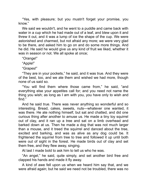"Yes, with pleasure; but you mustn't forget your promise, you know."

We said we wouldn't, and he went to a puddle and came back with water in a cup which he had made out of a leaf, and blew upon it and threw it out, and it was a lump of ice the shape of the cup. We were astonished and charmed, but not afraid any more; we were very glad to be there, and asked him to go on and do some more things. And he did. He said he would give us any kind of fruit we liked, whether it was in season or not. We all spoke at once;

"Orange!"

"Apple!"

"Grapes!"

"They are in your pockets," he said, and it was true. And they were of the best, too, and we ate them and wished we had more, though none of us said so.

"You will find them where those came from," he said, "and everything else your appetites call for; and you need not name the thing you wish; as long as I am with you, you have only to wish and find."

And he said true. There was never anything so wonderful and so interesting. Bread, cakes, sweets, nuts—whatever one wanted, it was there. He ate nothing himself, but sat and chatted, and did one curious thing after another to amuse us. He made a tiny toy squirrel out of clay, and it ran up a tree and sat on a limb overhead and barked down at us. Then he made a dog that was not much larger than a mouse, and it treed the squirrel and danced about the tree, excited and barking, and was as alive as any dog could be. It frightened the squirrel from tree to tree and followed it up until both were out of sight in the forest. He made birds out of clay and set them free, and they flew away, singing.

At last I made bold to ask him to tell us who he was.

"An angel," he said, quite simply, and set another bird free and clapped his hands and made it fly away.

A kind of awe fell upon us when we heard him say that, and we were afraid again; but he said we need not be troubled, there was no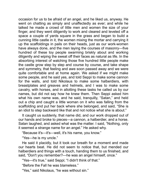occasion for us to be afraid of an angel, and he liked us, anyway. He went on chatting as simply and unaffectedly as ever; and while he talked he made a crowd of little men and women the size of your finger, and they went diligently to work and cleared and leveled off a space a couple of yards square in the grass and began to build a cunning little castle in it, the women mixing the mortar and carrying it up the scaffoldings in pails on their heads, just as our work-women have always done, and the men laying the courses of masonry—five hundred of these toy people swarming briskly about and working diligently and wiping the sweat off their faces as natural as life. In the absorbing interest of watching those five hundred little people make the castle grow step by step and course by course, and take shape and symmetry, that feeling and awe soon passed away and we were quite comfortable and at home again. We asked if we might make some people, and he said yes, and told Seppi to make some cannon for the walls, and told Nikolaus to make some halberdiers, with breastplates and greaves and helmets, and I was to make some cavalry, with horses, and in allotting these tasks he called us by our names, but did not say how he knew them. Then Seppi asked him what his own name was, and he said, tranquilly, "Satan," and held out a chip and caught a little woman on it who was falling from the scaffolding and put her back where she belonged, and said, "She is an idiot to step backward like that and not notice what she is about."

It caught us suddenly, that name did, and our work dropped out of our hands and broke to pieces—a cannon, a halberdier, and a horse. Satan laughed, and asked what was the matter. I said, "Nothing, only it seemed a strange name for an angel." He asked why.

"Because it's—it's—well, it's his name, you know."

"Yes—he is my uncle."

He said it placidly, but it took our breath for a moment and made our hearts beat. He did not seem to notice that, but mended our halberdiers and things with a touch, handing them to us finished, and said, "Don't you remember?—he was an angel himself, once."

"Yes—it's true," said Seppi; "I didn't think of that."

"Before the Fall he was blameless."

"Yes," said Nikolaus, "he was without sin."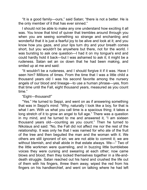"It is a good family—ours," said Satan; "there is not a better. He is the only member of it that has ever sinned."

I should not be able to make any one understand how exciting it all was. You know that kind of quiver that trembles around through you when you are seeing something so strange and enchanting and wonderful that it is just a fearful joy to be alive and look at it; and you know how you gaze, and your lips turn dry and your breath comes short, but you wouldn't be anywhere but there, not for the world. I was bursting to ask one question—I had it on my tongue's end and could hardly hold it back—but I was ashamed to ask it; it might be a rudeness. Satan set an ox down that he had been making, and smled up at me and sad:

"It wouldn't be a rudeness, and I should forgive it if it was. Have I seen him? Millions of times. From the time that I was a little child a thousand years old I was his second favorite among the nursery angels of our blood and lneage—to use a human phrase—yes, from that time until the Fall, eight thousand years, measured as you count time."

"Eght—thousand!"

"Yes." He turned to Seppi, and went on as if answering something that was in Seppi's mind: "Why, naturally I look like a boy, for that is what I am. With us what you call time is a spacious thing; it takes a long stretch of it to grow an angel to full age." There was a question in my mind, and he turned to me and answered it, "I am sixteen thousand years old—counting as you count." Then he turned to Nikolaus and said: "No, the Fall did not affect me nor the rest of the relationship. It was only he that I was named for who ate of the fruit of the tree and then beguiled the man and the woman with it. We others are still ignorant of sin; we are not able to commit it; we are without blemish, and shall abide in that estate always. We—" Two of the little workmen were quarreling, and in buzzing little bumblebee voices they were cursing and swearing at each other; now came blows and blood; then they locked themselves together in a life-anddeath struggle. Satan reached out his hand and crushed the life out of them with his fingers, threw them away, wiped the red from his fingers on his handkerchief, and went on talking where he had left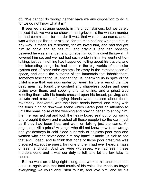off: "We cannot do wrong; neither have we any disposition to do it, for we do not know what it is."

It seemed a strange speech, in the circumstances, but we barely noticed that, we were so shocked and grieved at the wanton murder he had committed—for murder it was, that was its true name, and it was without palliation or excuse, for the men had not wronged him in any way. It made us miserable, for we loved him, and had thought him so noble and so beautiful and gracious, and had honestly believed he was an angel; and to have him do this cruel thing—ah, it lowered him so, and we had had such pride in him. He went right on talking, just as if nothing had happened, telling about his travels, and the interesting things he had seen in the big worlds of our solar system and of other solar systems far away in the remotenesses of space, and about the customs of the immortals that inhabit them, somehow fascinating us, enchanting us, charming us in spite of the pitiful scene that was now under our eyes, for the wives of the little dead men had found the crushed and shapeless bodies and were crying over them, and sobbing and lamenting, and a priest was kneeling there with his hands crossed upon his breast, praying; and crowds and crowds of pitying friends were massed about them, reverently uncovered, with their bare heads bowed, and many with the tears running down—a scene which Satan paid no attention to until the small noise of the weeping and praying began to annoy him, then he reached out and took the heavy board seat out of our swing and brought it down and mashed all those people into the earth just as if they had been flies, and went on talking just the same. An angel, and kill a priest! An angel who did not know how to do wrong, and yet destroys in cold blood hundreds of helpless poor men and women who had never done him any harm! It made us sick to see that awful deed, and to think that none of those poor creatures was prepared except the priest, for none of them had ever heard a mass or seen a church. And we were wtnesses; we had seen these murders done and it was our duty to tell, and let the law take its course.

But he went on talking right along, and worked his enchantments upon us again with that fatal music of his voice. He made us forget everything; we could only listen to him, and love him, and be his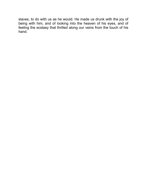<span id="page-16-0"></span>slaves, to do with us as he would. He made us drunk with the joy of being with him, and of looking into the heaven of his eyes, and of feeling the ecstasy that thrilled along our veins from the touch of his hand.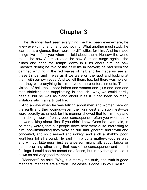### **Chapter 3**

The Stranger had seen everything, he had been everywhere, he knew everything, and he forgot nothing. What another must study, he learned at a glance; there were no difficulties for him. And he made things live before you when he told about them. He saw the world made; he saw Adam created; he saw Samson surge against the pillars and bring the temple down in ruins about him; he saw Caesar's death; he told of the daily life in heaven; he had seen the damned writhing in the red waves of hell; and he made us see all these things, and it was as if we were on the spot and looking at them with our own eyes. And we felt them, too, but there was no sign that they were anything to him beyond mere entertainments. Those visions of hell, those poor babes and women and girls and lads and men shrieking and supplicating in anguish—why, we could hardly bear it, but he was as bland about it as if it had been so many imitation rats in an artificial fire.

And always when he was talking about men and women here on the earth and their doings—even their grandest and sublimest—we were secretly ashamed, for his manner showed that to him they and their doings were of paltry poor consequence; often you would think he was talking about flies, if you didn't know. Once he even said, in so many words, that our people down here were quite interesting to him, notwithstanding they were so dull and ignorant and trivial and conceited, and so diseased and rickety, and such a shabby, poor, worthless lot all around. He said it in a quite matter-of-course way and without bitterness, just as a person might talk about bricks or manure or any other thing that was of no consequence and hadn't feelings. I could see he meant no offense, but in my thoughts I set it down as not very good manners.

"Manners!" he said. "Why, it is merely the truth, and truth is good manners; manners are a fiction. The castle is done. Do you like it?"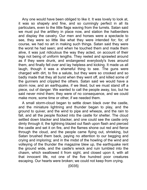Any one would have been obliged to like it. It was lovely to look at, it was so shapely and fine, and so cunningly perfect in all its particulars, even to the little flags waving from the turrets. Satan said we must put the artillery in place now, and station the halberdiers and display the cavalry. Our men and horses were a spectacle to see, they were so little like what they were intended for; for, of course, we had no art in making such things. Satan said they were the worst he had seen; and when he touched them and made them alive, it was just ridiculous the way they acted, on account of their legs not being of uniform lengths. They reeled and sprawled around as if they were drunk, and endangered everybody's lives around them, and finally fell over and lay helpless and kicking. It made us all laugh, though it was a shameful thing to see. The guns were charged with dirt, to fire a salute, but they were so crooked and so badly made that they all burst when they went off, and killed some of the gunners and crippled the others. Satan said we would have a storm now, and an earthquake, if we liked, but we must stand off a piece, out of danger. We wanted to call the people away, too, but he said never mind them; they were of no consequence, and we could make more, some time or other, if we needed them.

A small storm-cloud began to settle down black over the castle, and the miniature lightning and thunder began to play, and the ground to quiver, and the wind to pipe and wheeze, and the rain to fall, and all the people flocked into the castle for shelter. The cloud settled down blacker and blacker, and one could see the castle only dimly through it; the lightning blazed out flash upon flash and pierced the castle and set it on fire, and the flames shone out red and fierce through the cloud, and the people came flying out, shrieking, but Satan brushed them back, paying no attention to our begging and crying and imploring; and in the midst of the howling of the wind and volleying of the thunder the magazine blew up, the earthquake rent the ground wide, and the castle's wreck and ruin tumbled into the chasm, which swallowed it from sight, and closed upon it, with all that innocent life, not one of the five hundred poor creatures escaping. Our hearts were broken; we could not keep from crying.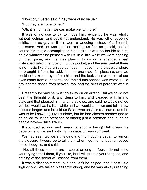"Don't cry," Satan sad; "they were of no value."

"But they are gone to hell!"

"Oh, it is no matter; we can make plenty more."

It was of no use to try to move him; evidently he was wholly without feelings, and could not understand. He was full of bubbling spirits, and as gay as if this were a wedding instead of a fiendish massacre. And he was bent on making us feel as he did, and of course his magic accomplished his desire. It was no trouble to him; he did whatever he pleased with us. In a little while we were dancing on that grave, and he was playing to us on a strange, sweet instrument which he took out of his pocket; and the music—but there is no music like that, unless perhaps in heaven, and that was where he brought it from, he said. It made one mad, for pleasure; and we could not take our eyes from him, and the looks that went out of our eyes came from our hearts, and their dumb speech was worship. He brought the dance from heaven, too, and the bliss of paradise was in t.

Presently he said he must go away on an errand. But we could not bear the thought of it, and clung to him, and pleaded with him to stay; and that pleased him, and he said so, and said he would not go yet, but would wait a little while and we would sit down and talk a few minutes longer; and he told us Satan was only his real name, and he was to be known by it to us alone, but he had chosen another one to be called by in the presence of others; just a common one, such as people have—Philip Traum.

It sounded so odd and mean for such a being! But it was his decision, and we said nothing; his decision was sufficient.

We had seen wonders this day; and my thoughts began to run on the pleasure it would be to tell them when I got home, but he noticed those thoughts, and sad:

"No, all these matters are a secret among us four. I do not mind your trying to tell them, if you like, but I will protect your tongues, and nothing of the secret will escape from them."

It was a disappointment, but it couldn't be helped, and it cost us a sigh or two. We talked pleasantly along, and he was always reading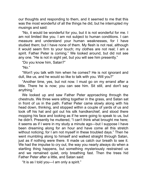our thoughts and responding to them, and it seemed to me that this was the most wonderful of all the things he did, but he interrupted my musings and said:

"No, it would be wonderful for you, but it is not wonderful for me. I am not limited like you. I am not subject to human conditions. I can measure and understand your human weaknesses, for I have studied them; but I have none of them. My flesh is not real, although it would seem firm to your touch; my clothes are not real; I am a spirit. Father Peter is coming." We looked around, but did not see any one. "He is not in sight yet, but you will see him presently."

"Do you know him, Satan?"

"No."

"Won't you talk with him when he comes? He is not ignorant and dull, like us, and he would so like to talk with you. Will you?"

"Another time, yes, but not now. I must go on my errand after a little. There he is now; you can see him. Sit still, and don't say anything."

We looked up and saw Father Peter approaching through the chestnuts. We three were sitting together in the grass, and Satan sat in front of us in the path. Father Peter came slowly along with his head down, thinking, and stopped within a couple of yards of us and took off his hat and got out his silk handkerchief, and stood there mopping his face and looking as if he were going to speak to us, but he didn't. Presently he muttered, "I can't think what brought me here; it seems as if I were in my study a minute ago—but I suppose I have been dreaming along for an hour and have come all this stretch without noticing; for I am not myself in these troubled days." Then he went mumbling along to himself and walked straight through Satan, just as if nothing were there. It made us catch our breath to see it. We had the impulse to cry out, the way you nearly always do when a startling thing happens, but something mysteriously restrained us and we remained quiet, only breathing fast. Then the trees hid Father Peter after a little, and Satan said:

"It is as I told you—I am only a spirit."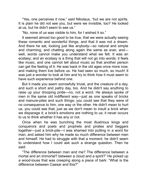"Yes, one perceives it now," said Nikolaus, "but we are not spirits. It is plain he did not see you, but were we invisible, too? He looked at us, but he didn't seem to see us."

"No, none of us was visible to him, for I wished it so."

It seemed almost too good to be true, that we were actually seeing these romantic and wonderful things, and that it was not a dream. And there he sat, looking just like anybody—so natural and simple and charming, and chatting along again the same as ever, and well, words cannot make you understand what we felt. It was an ecstasy; and an ecstasy is a thing that will not go into words; it feels like music, and one cannot tell about music so that another person can get the feeling of it. He was back in the old ages once more now, and making them live before us. He had seen so much, so much! It was just a wonder to look at him and try to think how it must seem to have such experience behind one.

But it made you seem sorrowfully trivial, and the creature of a day, and such a short and paltry day, too. And he didn't say anything to raise up your drooping pride—no, not a word. He always spoke of men in the same old indifferent way—just as one speaks of bricks and manure-piles and such things; you could see that they were of no consequence to him, one way or the other. He didn't mean to hurt us, you could see that; just as we don't mean to insult a brick when we disparage it; a brick's emotions are nothing to us; it never occurs to us to think whether it has any or not.

Once when he was bunching the most illustrious kings and conquerors and poets and prophets and pirates and beggars together—just a brick-pile—I was shamed into putting in a word for man, and asked him why he made so much difference between men and himself. He had to struggle with that a moment; he didn't seem to understand how I could ask such a strange question. Then he said:

"The difference between man and me? The difference between a mortal and an immortal? between a cloud and a spirit?" He picked up a wood-louse that was creeping along a piece of bark: "What is the difference between Caesar and this?"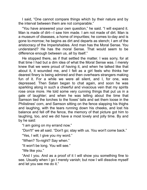I said, "One cannot compare things which by their nature and by the interval between them are not comparable."

"You have answered your own question," he said. "I will expand it. Man is made of dirt—I saw him made. I am not made of dirt. Man is a museum of diseases, a home of impurities; he comes to-day and is gone to-morrow; he begins as dirt and departs as stench; I am of the aristocracy of the Imperishables. And man has the Moral Sense. You understand? He has the moral Sense. That would seem to be difference enough between us, all by itself."

He stopped there, as if that settled the matter. I was sorry, for at that time I had but a dim idea of what the Moral Sense was. I merely knew that we were proud of having it, and when he talked like that about it, it wounded me, and I felt as a girl feels who thinks her dearest finery is being admired and then overhears strangers making fun of it. For a while we were all silent, and I, for one, was depressed. Then Satan began to chat again, and soon he was sparkling along in such a cheerful and vivacious vein that my spirits rose once more. He told some very cunning things that put us in a gale of laughter; and when he was telling about the time that Samson tied the torches to the foxes' tails and set them loose in the Philistines' corn, and Samson sitting on the fence slapping his thighs and laughing, with the tears running down his cheeks, and lost his balance and fell off the fence, the memory of that picture got him to laughing, too, and we did have a most lovely and jolly time. By and by he said:

"I am going on my errand now."

"Don't!" we all said. "Don't go; stay with us. You won't come back."

"Yes, I will; I give you my word."

"When? To-night? Say when."

"It won't be long. You will see."

"We like you."

"And I you. And as a proof of it I will show you something fine to see. Usually when I go I merely vanish; but now I will dissolve myself and let you see me do it."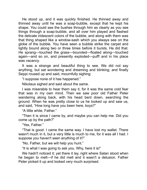He stood up, and it was quickly finished. He thinned away and thinned away until he was a soap-bubble, except that he kept his shape. You could see the bushes through him as clearly as you see things through a soap-bubble, and all over him played and flashed the delicate iridescent colors of the bubble, and along with them was that thing shaped like a window-sash which you always see on the globe of the bubble. You have seen a bubble strke the carpet and lightly bound along two or three times before it bursts. He did that. He sprang—touched the grass—bounded—floated along—touched again—and so on, and presently exploded—puff! and in his place was vacancy.

It was a strange and beautiful thing to see. We did not say anything, but sat wondering and dreaming and blinking; and finally Seppi roused up and said, mournfully sighing:

"I suppose none of it has happened."

Nikolaus sighed and said about the same.

I was miserable to hear them say it, for it was the same cold fear that was in my own mind. Then we saw poor old Father Peter wandering along back, with his head bent down, searching the ground. When he was pretty close to us he looked up and saw us, and said, "How long have you been here, boys?"

"A little while, Father."

"Then it is since I came by, and maybe you can help me. Did you come up by the path?"

"Yes, Father."

"That is good. I came the same way. I have lost my wallet. There wasn't much in it, but a very little is much to me, for it was all I had. I suppose you haven't seen anything of it?"

"No, Father, but we will help you hunt."

"It is what I was going to ask you. Why, here it is!"

We hadn't noticed it; yet there it lay, right where Satan stood when he began to melt—if he did melt and it wasn't a delusion. Father Peter picked it up and looked very much surprised.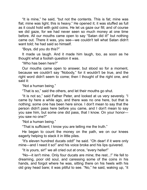"It is mine," he said, "but not the contents. This is fat; mine was flat; mine was light; this is heavy." He opened it; it was stuffed as full as it could hold with gold coins. He let us gaze our fill; and of course we did gaze, for we had never seen so much money at one time before. All our mouths came open to say "Satan did it!" but nothing came out. There it was, you see—we couldn't tell what Satan didn't want told; he had said so himself.

"Boys, did you do this?"

It made us laugh. And it made him laugh, too, as soon as he thought what a foolish question it was.

"Who has been here?"

Our mouths came open to answer, but stood so for a moment, because we couldn't say "Nobody," for it wouldn't be true, and the right word didn't seem to come; then I thought of the right one, and said it:

"Not a human being."

"That is so," said the others, and let their mouths go shut.

"It is not so," said Father Peter, and looked at us very severely. "I came by here a while ago, and there was no one here, but that is nothing; some one has been here since. I don't mean to say that the person didn't pass here before you came, and I don't mean to say you saw him, but some one did pass, that I know. On your honor you saw no one?"

"Not a human being."

"That is sufficient; I know you are telling me the truth."

He began to count the money on the path, we on our knees eagerly helping to stack it in little piles.

"It's eleven hundred ducats odd!" he said. "Oh dear! if it were only mine—and I need it so!" and his voice broke and his lips quivered.

"It is yours, sir!" we all cried out at once, "every heller!"

"No—it isn't mine. Only four ducats are mine; the rest...!" He fell to dreaming, poor old soul, and caressing some of the coins in his hands, and forgot where he was, sitting there on his heels with his old gray head bare; it was pitiful to see. "No," he said, waking up, "it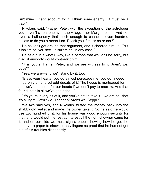isn't mine. I can't account for it. I think some enemy... it must be a trap."

Nikolaus said: "Father Peter, with the exception of the astrologer you haven't a real enemy in the village—nor Marget, either. And not even a half-enemy that's rich enough to chance eleven hundred ducats to do you a mean turn. I'll ask you if that's so or not?"

He couldn't get around that argument, and it cheered him up. "But it isn't mine, you see—it isn't mine, in any case."

He said it in a wistful way, like a person that wouldn't be sorry, but glad, if anybody would contradict him.

"It is yours, Father Peter, and we are witness to it. Aren't we, boys?"

"Yes, we are—and we'll stand by it, too."

"Bless your hearts, you do almost persuade me; you do, indeed. If I had only a hundred-odd ducats of it! The house is mortgaged for it, and we've no home for our heads if we don't pay to-morrow. And that four ducats is all we've got in the— $"$ 

"It's yours, every bit of it, and you've got to take it—we are bail that it's all right. Aren't we, Theodor? Aren't we, Seppi?"

<span id="page-25-0"></span>We two said yes, and Nikolaus stuffed the money back into the shabby old wallet and made the owner take it. So he said he would use two hundred of it, for his house was good enough security for that, and would put the rest at interest till the rightful owner came for it; and on our side we must sign a paper showing how he got the money—a paper to show to the villagers as proof that he had not got out of his troubles dishonestly.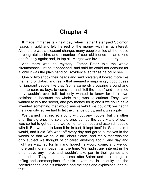### **Chapter 4**

It made immense talk next day, when Father Peter paid Solomon Isaacs in gold and left the rest of the money with him at interest. Also, there was a pleasant change; many people called at the house to congratulate him, and a number of cool old friends became kind and friendly again; and, to top all, Marget was invited to a party.

And there was no mystery; Father Peter told the whole circumstance just as it happened, and said he could not account for it, only it was the plain hand of Providence, so far as he could see.

One or two shook their heads and said privately it looked more like the hand of Satan; and really that seemed a surprisingly good guess for ignorant people like that. Some came slyly buzzing around and tried to coax us boys to come out and "tell the truth;" and promised they wouldn't ever tell, but only wanted to know for their own satisfaction, because the whole thing was so curious. They even wanted to buy the secret, and pay money for it; and if we could have invented something that would answer—but we couldn't; we hadn't the ingenuity, so we had to let the chance go by, and it was a pity.

We carried that secret around without any trouble, but the other one, the big one, the splendid one, burned the very vitals of us, it was so hot to get out and we so hot to let it out and astonish people with it. But we had to keep it in; in fact, it kept itself in. Satan said it would, and it did. We went off every day and got to ourselves in the woods so that we could talk about Satan, and really that was the only subject we thought of or cared anything about; and day and night we watched for him and hoped he would come, and we got more and more impatient all the time. We hadn't any interest in the other boys any more, and wouldn't take part in their games and enterprises. They seemed so tame, after Satan; and their doings so trifling and commonplace after his adventures in antiquity and the constellations, and his miracles and meltings and explosions, and all that.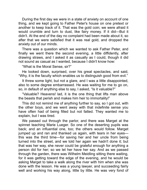During the first day we were in a state of anxiety on account of one thing, and we kept going to Father Peter's house on one pretext or another to keep track of it. That was the gold coin; we were afraid it would crumble and turn to dust, like fairy money. If it did—But it didn't. At the end of the day no complaint had been made about it, so after that we were satisfied that it was real gold, and dropped the anxiety out of our minds.

There was a question which we wanted to ask Father Peter, and finally we went there the second evening, a little diffidently, after drawing straws, and I asked it as casually as I could, though it did not sound as casual as I wanted, because I didn't know how:

"What is the Moral Sense, sir?"

He looked down, surprised, over his great spectacles, and said, "Why, it is the faculty which enables us to distinguish good from evil."

It threw some light, but not a glare, and I was a little disappointed, also to some degree embarrassed. He was waiting for me to go on, so, in default of anything else to say, I asked, "Is it valuable?"

"Valuable? Heavens! lad, it is the one thing that lifts man above the beasts that perish and makes him heir to immortality!"

This did not remind me of anything further to say, so I got out, with the other boys, and we went away with that indefinite sense you have often had of being filled but not fatted. They wanted me to explain, but I was tired.

We passed out through the parlor, and there was Marget at the spinnet teaching Marie Lueger. So one of the deserting pupils was back; and an influential one, too; the others would follow. Marget jumped up and ran and thanked us again, with tears in her eyes this was the third time—for saving her and her uncle from being turned into the street, and we told her again we hadn't done it; but that was her way, she never could be grateful enough for anything a person did for her; so we let her have her say. And as we passed through the garden, there was Wilhelm Meidling sitting there waiting, for it was getting toward the edge of the evening, and he would be asking Marget to take a walk along the river with him when she was done with the lesson. He was a young lawyer, and succeeding fairly well and working his way along, little by little. He was very fond of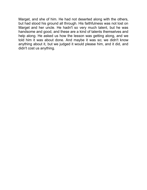<span id="page-29-0"></span>Marget, and she of him. He had not deserted along with the others, but had stood his ground all through. His faithfulness was not lost on Marget and her uncle. He hadn't so very much talent, but he was handsome and good, and these are a kind of talents themselves and help along. He asked us how the lesson was getting along, and we told him it was about done. And maybe it was so; we didn't know anything about it, but we judged it would please him, and it did, and didn't cost us anything.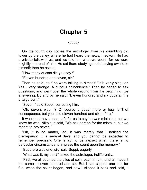### **Chapter 5**

### {0055}

On the fourth day comes the astrologer from his crumbling old tower up the valley, where he had heard the news, I reckon. He had a private talk with us, and we told him what we could, for we were mightily in dread of him. He sat there studying and studying awhile to himself; then he asked:

"How many ducats did you say?"

"Eleven hundred and seven, sir."

Then he said, as if he were talking to himself: "It is ver-y singular. Yes... very strange. A curious coincidence." Then he began to ask questions, and went over the whole ground from the beginning, we answering. By and by he said: "Eleven hundred and six ducats. It is a large sum."

"Seven," said Seppi, correcting him.

"Oh, seven, was it? Of course a ducat more or less isn't of consequence, but you said eleven hundred and six before."

It would not have been safe for us to say he was mistaken, but we knew he was. Nikolaus said, "We ask pardon for the mistake, but we meant to say seven."

"Oh, it is no matter, lad; it was merely that I noticed the discrepancy. It is several days, and you cannot be expected to remember precisely. One is apt to be inexact when there is no particular circumstance to impress the count upon the memory."

"But there was one, sir," said Seppi, eagerly.

"What was it, my son?" asked the astrologer, indifferently.

"First, we all counted the piles of coin, each in turn, and all made it the same—eleven hundred and six. But I had slipped one out, for fun, when the count began, and now I slipped it back and said, 'I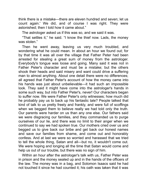think there is a mistake—there are eleven hundred and seven; let us count again.' We did, and of course I was right. They were astonished; then I told how it came about."

The astrologer asked us if this was so, and we said it was.

"That settles it," he said. "I know the thief now. Lads, the money was stolen."

Then he went away, leaving us very much troubled, and wondering what he could mean. In about an hour we found out; for by that time it was all over the village that Father Peter had been arrested for stealng a great sum of money from the astrologer. Everybody's tongue was loose and going. Many said it was not in Father Peter's character and must be a mistake; but the others shook their heads and said misery and want could drive a suffering man to almost anything. About one detail there were no differences; all agreed that Father Peter's account of how the money came into his hands was just about unbelievable—it had such an impossible look. They said it might have come into the astrologer's hands in some such way, but into Father Peter's, never! Our characters began to suffer now. We were Father Peter's only witnesses; how much did he probably pay us to back up his fantastic tale? People talked that kind of talk to us pretty freely and frankly, and were full of scoffings when we begged them to believe really we had told only the truth. Our parents were harder on us than any one else. Our fathers said we were disgracing our families, and they commanded us to purge ourselves of our lie, and there was no limit to their anger when we continued to say we had spoken true. Our mothers cried over us and begged us to give back our bribe and get back our honest names and save our families from shame, and come out and honorably confess. And at last we were so worred and harassed that we tred to tell the whole thing, Satan and all—but no, it wouldn't come out. We were hoping and longing all the time that Satan would come and help us out of our trouble, but there was no sign of him.

Within an hour after the astrologer's talk with us, Father Peter was in prison and the money sealed up and in the hands of the officers of the law. The money was in a bag, and Solomon Isaacs said he had not touched it since he had counted it; his oath was taken that it was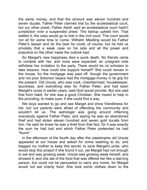the same money, and that the amount was eleven hundred and seven ducats. Father Peter claimed trial by the ecclesiastical court, but our other priest, Father Adolf, said an ecclesiastical court hadn't jurisdiction over a suspended priest. The bishop upheld him. That settled it; the case would go to trial in the civil court. The court would not sit for some time to come. Wilhelm Meidling would be Father Peter's lawyer and do the best he could, of course, but he told us privately that a weak case on his side and all the power and prejudice on the other made the outlook bad.

So Marget's new happiness died a quick death. No friends came to condole with her, and none were expected; an unsigned note withdrew her invitation to the party. There would be no scholars to take lessons. How could she support herself? She could remain in the house, for the mortgage was paid off, though the government and not poor Solomon Isaacs had the mortgage-money in its grip for the present. Old Ursula, who was cook, chambermaid, housekeeper, laundress, and everything else for Father Peter, and had been Marget's nurse in earlier years, said God would provide. But she said that from habit, for she was a good Christian. She meant to help in the providing, to make sure, if she could find a way.

We boys wanted to go and see Marget and show friendliness for her, but our parents were afraid of offending the community and wouldn't let us. The astrologer was going around inflaming everybody against Father Peter, and saying he was an abandoned thief and had stolen eleven hundred and seven gold ducats from him. He said he knew he was a thief from that fact, for it was exactly the sum he had lost and which Father Peter pretended he had "found."

In the afternoon of the fourth day after the catastrophe old Ursula appeared at our house and asked for some washing to do, and begged my mother to keep this secret, to save Marget's pride, who would stop this project if she found it out, yet Marget had not enough to eat and was growing weak. Ursula was growing weak herself, and showed it; and she ate of the food that was offered her like a starving person, but could not be persuaded to carry any home, for Marget would not eat charity food. She took some clothes down to the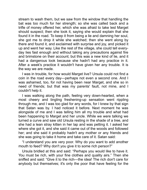stream to wash them, but we saw from the window that handling the bat was too much for her strength; so she was called back and a trifle of money offered her, which she was afraid to take lest Marget should suspect; then she took it, saying she would explain that she found it in the road. To keep it from being a lie and damning her soul, she got me to drop it while she watched; then she went along by there and found it, and exclaimed with surprise and joy, and picked it up and went her way. Like the rest of the village, she could tell everyday lies fast enough and without taking any precautions against fire and brimstone on their account; but this was a new kind of lie, and it had a dangerous look because she hadn't had any practice in it. After a week's practice it wouldn't have given her any trouble. It is the way we are made.

I was in trouble, for how would Marget live? Ursula could not find a coin in the road every day—perhaps not even a second one. And I was ashamed, too, for not having been near Marget, and she so in need of friends; but that was my parents' fault, not mine, and I couldn't help it.

I was walking along the path, feeling very down-hearted, when a most cheery and tingling freshening-up sensation went rippling through me, and I was too glad for any words, for I knew by that sign that Satan was by. I had noticed it before. Next moment he was alongside of me and I was telling him all my trouble and what had been happening to Marget and her uncle. While we were talking we turned a curve and saw old Ursula resting in the shade of a tree, and she had a lean stray kitten in her lap and was petting it. I asked her where she got it, and she said it came out of the woods and followed her; and she said it probably hadn't any mother or any friends and she was going to take it home and take care of it. Satan said:

"I understand you are very poor. Why do you want to add another mouth to feed? Why don't you give it to some rich person?"

Ursula bridled at this and said: "Perhaps you would like to have it. You must be rich, with your fine clothes and quality airs." Then she sniffed and said: "Give it to the rich—the idea! The rich don't care for anybody but themselves; it's only the poor that have feeling for the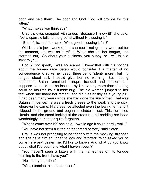poor, and help them. The poor and God. God will provide for this kitten."

"What makes you think so?"

Ursula's eyes snapped with anger. "Because I know it!" she said. "Not a sparrow falls to the ground without His seeing it."

"But it falls, just the same. What good is seeing it fall?"

Old Ursula's jaws worked, but she could not get any word out for the moment, she was so horrified. When she got her tongue, she stormed out, "Go about your business, you puppy, or I will take a stick to you!"

I could not speak, I was so scared. I knew that with his notions about the human race Satan would consider it a matter of no consequence to strike her dead, there being "plenty more"; but my tongue stood still, I could give her no warning. But nothing happened; Satan remained tranquil—tranquil and indifferent. I suppose he could not be insulted by Ursula any more than the king could be insulted by a tumble-bug. The old woman jumped to her feet when she made her remark, and did it as briskly as a young girl. It had been many years since she had done the like of that. That was Satan's influence; he was a fresh breeze to the weak and the sick, wherever he came. His presence affected even the lean kitten, and it skipped to the ground and began to chase a leaf. This surprised Ursula, and she stood looking at the creature and nodding her head wonderingly, her anger quite forgotten.

"What's come over it?" she said. "Awhile ago it could hardly walk."

"You have not seen a kitten of that breed before," said Satan.

Ursula was not proposing to be friendly with the mocking stranger, and she gave him an ungentle look and retorted: "Who asked you to come here and pester me, I'd like to know? And what do you know about what I've seen and what I haven't seen?"

"You haven't seen a kitten with the hair-spines on its tongue pointing to the front, have you?"

"No—nor you, either."

"Well, examine this one and see."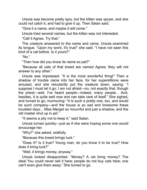Ursula was become pretty spry, but the kitten was spryer, and she could not catch it, and had to give it up. Then Satan said:

"Give it a name, and maybe it will come."

Ursula tried several names, but the kitten was not interested.

"Call it Agnes. Try that."

The creature answered to the name and came. Ursula examined its tongue. "Upon my word, it's true!" she said. "I have not seen this kind of a cat before. Is it yours?"

"No."

"Then how did you know its name so pat?"

"Because all cats of that breed are named Agnes; they wll not answer to any other."

Ursula was impressed. "It is the most wonderful thing!" Then a shadow of trouble came into her face, for her superstitions were aroused, and she reluctantly put the creature down, saying: "I suppose I must let it go; I am not afraid—no, not exactly that, though the priest—well, I've heard people—indeed, many people... And, besides, it is quite well now and can take care of itself." She sighed, and turned to go, murmuring: "It is such a pretty one, too, and would be such company—and the house is so sad and lonesome these troubled days... Miss Marget so mournful and just a shadow, and the old master shut up in jail."

"It seems a pity not to keep it," said Satan.

Ursula turned quickly—just as if she were hoping some one would encourage her.

"Why?" she asked, wistfully.

"Because this breed brings luck."

"Does it? Is it true? Young man, do you know it to be true? How does it bring luck?"

"Well, it brings money, anyway."

Ursula looked disappointed. "Money? A cat bring money? The idea! You could never sell it here; people do not buy cats here; one can't even give them away." She turned to go.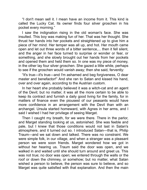"I don't mean sell it. I mean have an income from it. This kind is called the Lucky Cat. Its owner finds four silver groschen in his pocket every morning."

I saw the indignation rising in the old woman's face. She was insulted. This boy was making fun of her. That was her thought. She thrust her hands into her pockets and straightened up to give him a piece of her mind. Her temper was all up, and hot. Her mouth came open and let out three words of a bitter sentence,... then it fell silent, and the anger in her face turned to surprise or wonder or fear, or something, and she slowly brought out her hands from her pockets and opened them and held them so. In one was my piece of money, in the other lay four silver groschen. She gazed a little while, perhaps to see if the groschen would vanish away; then she said, fervently:

"It's true—it's true—and I'm ashamed and beg forgiveness, O dear master and benefactor!" And she ran to Satan and kissed his hand, over and over again, according to the Austrian custom.

In her heart she probably believed it was a witch-cat and an agent of the Devil; but no matter, it was all the more certain to be able to keep its contract and furnish a daily good living for the family, for in matters of finance even the piousest of our peasants would have more confidence in an arrangement with the Devil than with an archangel. Ursula started homeward, with Agnes in her arms, and I said I wished I had her privilege of seeing Marget.

Then I caught my breath, for we were there. There in the parlor, and Marget standing looking at us, astonished. She was feeble and pale, but I knew that those conditions would not last in Satan's atmosphere, and it turned out so. I introduced Satan—that is, Philip Traum—and we sat down and talked. There was no constrant. We were simple folk, in our village, and when a stranger was a pleasant person we were soon friends. Marget wondered how we got in without her hearing us. Traum said the door was open, and we walked in and waited until she should turn around and greet us. This was not true; no door was open; we entered through the walls or the roof or down the chimney, or somehow; but no matter, what Satan wished a person to believe, the person was sure to believe, and so Marget was quite satisfied with that explanation. And then the main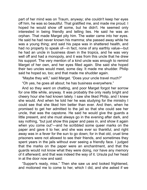part of her mind was on Traum, anyway; she couldn't keep her eyes off him, he was so beautiful. That gratified me, and made me proud. I hoped he would show off some, but he didn't. He seemed only interested in being friendly and telling lies. He said he was an orphan. That made Marget pity him. The water came into her eyes. He said he had never known his mamma; she passed away while he was a young thing; and said his papa was in shattered health, and had no property to speak of—in fact, none of any earthly value—but he had an uncle in business down in the tropics, and he was very well off and had a monopoly, and it was from this uncle that he drew his support. The very mention of a kind uncle was enough to remind Marget of her own, and her eyes filled again. She said she hoped their two uncles would meet, some day. It made me shudder. Philip said he hoped so, too; and that made me shudder again.

"Maybe they will," said Marget. "Does your uncle travel much?"

"Oh yes, he goes all about; he has business everywhere."

And so they went on chatting, and poor Marget forgot her sorrow for one little while, anyway. It was probably the only really bright and cheery hour she had known lately. I saw she liked Philip, and I knew she would. And when he told her he was studying for the ministry I could see that she liked him better than ever. And then, when he promised to get her admitted to the jail so that she could see her uncle, that was the capstone. He said he would give the guards a little present, and she must always go in the evening after dark, and say nothing, "but just show this paper and pass in, and show it again when you come out"—and he scribbled some queer marks on the paper and gave it to her, and she was ever so thankful, and right away was in a fever for the sun to go down; for in that old, cruel time prisoners were not allowed to see their friends, and sometimes they spent years in the jails without ever seeing a friendly face. I judged that the marks on the paper were an enchantment, and that the guards would not know what they were doing, nor have any memory of it afterward; and that was indeed the way of it. Ursula put her head in at the door now and said:

"Supper's ready, miss." Then she saw us and looked frightened, and motioned me to come to her, which I did, and she asked if we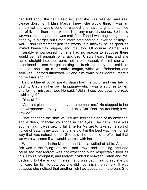had told about the cat. I said no, and she was relieved, and said please don't; for if Miss Marget knew, she would think it was an unholy cat and would send for a priest and have its gifts all purified out of it, and then there wouldn't be any more dividends. So I said we wouldn't tell, and she was satisfied. Then I was beginning to say good-by to Marget, but Satan interrupted and said, ever so politelywell, I don't remember just the words, but anyway he as good as invited himself to supper, and me, too. Of course Marget was miserably embarrassed, for she had no reason to suppose there would be half enough for a sick bird. Ursula heard him, and she came straight into the room, not a bit pleased. At first she was astonished to see Marget looking so fresh and rosy, and said so; then she spoke up in her native tongue, which was Bohemian, and said—as I learned afterward—"Send him away, Miss Marget; there's not victuals enough."

Before Marget could speak, Satan had the word, and was talking back to Ursula in her own language—which was a surprise to her, and for her mistress, too. He said, "Didn't I see you down the road awhile ago?"

"Yes, sir."

"Ah, that pleases me; I see you remember me." He stepped to her and whispered: "I told you it is a Lucky Cat. Don't be troubled; it will provide."

That sponged the slate of Ursula's feelings clean of its anxieties, and a deep, financial joy shone in her eyes. The cat's value was augmenting. It was getting full time for Marget to take some sort of notice of Satan's invitation, and she did it in the best way, the honest way that was natural to her. She said she had little to offer, but that we were welcome if we would share it with her.

We had supper in the kitchen, and Ursula waited at table. A small fish was in the frying-pan, crisp and brown and tempting, and one could see that Marget was not expecting such respectable food as this. Ursula brought it, and Marget divided it between Satan and me, declining to take any of it herself; and was beginning to say she did not care for fish to-day, but she did not finish the remark. It was because she noticed that another fish had appeared in the pan. She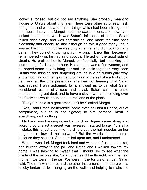looked surprised, but did not say anything. She probably meant to inquire of Ursula about this later. There were other surprises: flesh and game and wines and fruits—things which had been strangers in that house lately; but Marget made no exclamations, and now even looked unsurprised, which was Satan's influence, of course. Satan talked right along, and was entertaining, and made the time pass pleasantly and cheerfully; and although he told a good many lies, it was no harm in him, for he was only an angel and did not know any better. They do not know right from wrong; I knew this, because I remembered what he had said about it. He got on the good side of Ursula. He praised her to Marget, confidentially, but speaking just loud enough for Ursula to hear. He said she was a fine woman, and he hoped some day to bring her and his uncle together. Very soon Ursula was mincing and simpering around in a ridiculous girly way, and smoothing out her gown and prinking at herself like a foolish old hen, and all the time pretending she was not hearing what Satan was saying. I was ashamed, for it showed us to be what Satan considered us, a silly race and trivial. Satan said his uncle entertained a great deal, and to have a clever woman presiding over the festivities would double the attractions of the place.

"But your uncle is a gentleman, isn't he?" asked Marget.

"Yes," said Satan indifferently; "some even call him a Prince, out of compliment, but he is not bigoted; to him personal merit is everything, rank nothing."

My hand was hanging down by my chair; Agnes came along and licked it; by this act a secret was revealed. I started to say, "It is all a mistake; this is just a common, ordinary cat; the hair-needles on her tongue point inward, not outward." But the words did not come, because they couldn't. Satan smled upon me, and I understood.

When it was dark Marget took food and wine and fruit, in a basket, and hurried away to the jail, and Satan and I walked toward my home. I was thinking to myself that I should like to see what the inside of the jail was like; Satan overheard the thought, and the next moment we were in the jail. We were in the torture-chamber, Satan said. The rack was there, and the other instruments, and there was a smoky lantern or two hanging on the walls and helping to make the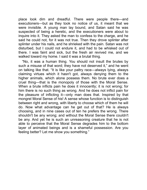place look dim and dreadful. There were people there—and executioners—but as they took no notice of us, it meant that we were invisible. A young man lay bound, and Satan said he was suspected of being a heretic, and the executioners were about to inquire into it. They asked the man to confess to the charge, and he said he could not, for it was not true. Then they drove splinter after splinter under his nails, and he shrieked with the pain. Satan was not disturbed, but I could not endure it, and had to be whisked out of there. I was faint and sick, but the fresh air revived me, and we walked toward my home. I said it was a brutal thing.

"No, it was a human thing. You should not insult the brutes by such a misuse of that word; they have not deserved it," and he went on talking like that. "It is like your paltry race—always lying, always claiming virtues which it hasn't got, always denying them to the higher animals, which alone possess them. No brute ever does a cruel thing—that is the monopoly of those with the Moral Sense. When a brute inflicts pain he does it innocently; it is not wrong; for him there is no such thing as wrong. And he does not inflict pain for the pleasure of inflicting it—only man does that. Inspired by that mongrel Moral Sense of his! A sense whose function is to distinguish between right and wrong, with liberty to choose which of them he will do. Now what advantage can he get out of that? He is always choosing, and in nine cases out of ten he prefers the wrong. There shouldn't be any wrong; and without the Moral Sense there couldn't be any. And yet he is such an unreasoning creature that he is not able to perceive that the Moral Sense degrades him to the bottom layer of animated beings and is a shameful possession. Are you feeling better? Let me show you something."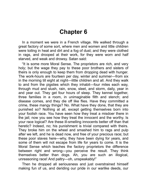## **Chapter 6**

In a moment we were in a French village. We walked through a great factory of some sort, where men and women and little children were toiling in heat and dirt and a fog of dust; and they were clothed in rags, and drooped at their work, for they were worn and half starved, and weak and drowsy. Satan sad:

"It is some more Moral Sense. The proprietors are rich, and very holy; but the wage they pay to these poor brothers and sisters of theirs is only enough to keep them from dropping dead with hunger. The work-hours are fourteen per day, winter and summer-from six in the morning till eight at night—little children and all. And they walk to and from the pigsties which they inhabit—four miles each way, through mud and slush, rain, snow, sleet, and storm, daily, year in and year out. They get four hours of sleep. They kennel together, three families in a room, in unimaginable filth and stench; and disease comes, and they die off like flies. Have they committed a crime, these mangy things? No. What have they done, that they are punished so? Nothing at all, except getting themselves born into your foolish race. You have seen how they treat a misdoer there in the jail; now you see how they treat the innocent and the worthy. Is your race logical? Are these ill-smelling innocents better off than that heretic? Indeed, no; his punishment is trivial compared with theirs. They broke him on the wheel and smashed him to rags and pulp after we left, and he is dead now, and free of your precious race; but these poor slaves here—why, they have been dying for years, and some of them will not escape from life for years to come. It is the Moral Sense which teaches the factory proprietors the difference between right and wrong—you perceive the result. They think themselves better than dogs. Ah, you are such an illogical, unreasoning race! And paltry-oh, unspeakably!"

Then he dropped all seriousness and just overstrained himself making fun of us, and deriding our pride in our warlike deeds, our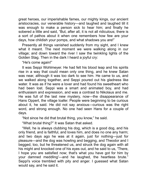great heroes, our imperishable fames, our mighty kings, our ancient aristocracies, our venerable history—and laughed and laughed till it was enough to make a person sick to hear him; and finally he sobered a little and said, "But, after all, it is not all ridiculous; there is a sort of pathos about it when one remembers how few are your days, how childish your pomps, and what shadows you are!"

Presently all things vanished suddenly from my sight, and I knew what it meant. The next moment we were walking along in our village; and down toward the river I saw the twinkling lights of the Golden Stag. Then in the dark I heard a joyful cry:

"He's come again!"

It was Seppi Wohlmeyer. He had felt his blood leap and his spirits rise in a way that could mean only one thing, and he knew Satan was near, although it was too dark to see him. He came to us, and we walked along together, and Seppi poured out his gladness like water. It was as if he were a lover and had found his sweetheart who had been lost. Seppi was a smart and animated boy, and had enthusiasm and expression, and was a contrast to Nikolaus and me. He was full of the last new mystery, now—the disappearance of Hans Oppert, the village loafer. People were beginning to be curious about it, he said. He did not say anxious—curious was the right word, and strong enough. No one had seen Hans for a couple of days.

"Not since he did that brutal thing, you know," he said.

"What brutal thing?" It was Satan that asked.

"Well, he is always clubbing his dog, which is a good dog, and his only friend, and is faithful, and loves him, and does no one any harm; and two days ago he was at it again, just for nothing—just for pleasure—and the dog was howling and begging, and Theodor and I begged, too, but he threatened us, and struck the dog again with all his might and knocked one of his eyes out, and he said to us, 'There, I hope you are satisfied now; that's what you have got for him by your damned meddling'—and he laughed, the heartless brute." Seppi's voice trembled with pity and anger. I guessed what Satan would say, and he said it.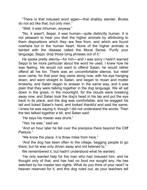"There is that misused word again—that shabby slander. Brutes do not act like that, but only men."

"Well, it was inhuman, anyway."

"No, it wasn't, Seppi; it was human—quite distinctly human. It is not pleasant to hear you libel the higher animals by attributing to them dispositions which they are free from, and which are found nowhere but in the human heart. None of the higher animals is tainted with the disease called the Moral Sense. Purify your language, Seppi; drop those lying phrases out of it."

He spoke pretty sternly—for him—and I was sorry I hadn't warned Seppi to be more particular about the word he used. I knew how he was feelng. He would not want to offend Satan; he would rather offend all his kin. There was an uncomfortable silence, but relief soon came, for that poor dog came along now, with his eye hanging down, and went straight to Satan, and began to moan and mutter brokenly, and Satan began to answer in the same way, and it was plain that they were talking together in the dog language. We all sat down in the grass, in the moonlight, for the clouds were breaking away now, and Satan took the dog's head in his lap and put the eye back in its place, and the dog was comfortable, and he wagged his tail and licked Satan's hand, and looked thankful and said the same; I knew he was saying it, though I did not understand the words. Then the two talked together a bit, and Satan said:

"He says his master was drunk."

"Yes, he was," said we.

"And an hour later he fell over the precipice there beyond the Cliff Pasture."

"We know the place; it is three miles from here."

"And the dog has been often to the village, begging people to go there, but he was only driven away and not listened to."

We remembered it, but hadn't understood what he wanted.

"He only wanted help for the man who had misused him, and he thought only of that, and has had no food nor sought any. He has watched by his master two nights. What do you think of your race? Is heaven reserved for it, and this dog ruled out, as your teachers tell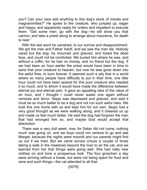you? Can your race add anything to this dog's stock of morals and magnanimities?" He spoke to the creature, who jumped up, eager and happy, and apparently ready for orders and impatient to execute them. "Get some men; go with the dog—he will show you that carrion; and take a priest along to arrange about insurance, for death is near."

With the last word he vanished, to our sorrow and disappointment. We got the men and Father Adolf, and we saw the man die. Nobody cared but the dog; he mourned and grieved, and licked the dead face, and could not be comforted. We buried him where he was, and without a coffin, for he had no money, and no friend but the dog. If we had been an hour earlier the priest would have been in time to send that poor creature to heaven, but now he was gone down into the awful fires, to burn forever. It seemed such a pity that in a world where so many people have difficulty to put in their time, one little hour could not have been spared for this poor creature who needed it so much, and to whom it would have made the difference between eternal joy and eternal pain. It gave an appalling idea of the value of an hour, and I thought I could never waste one again without remorse and terror. Seppi was depressed and grieved, and said it must be so much better to be a dog and not run such awful risks. We took this one home with us and kept him for our own. Seppi had a very good thought as we were walking along, and it cheered us up and made us feel much better. He said the dog had forgiven the man that had wronged him so, and maybe God would accept that absolution.

There was a very dull week, now, for Satan did not come, nothing much was going on, and we boys could not venture to go and see Marget, because the nights were moonlit and our parents might find us out if we tried. But we came across Ursula a couple of times taking a walk in the meadows beyond the river to air the cat, and we learned from her that things were going well. She had natty new clothes on and bore a prosperous look. The four groschen a day were arriving without a break, but were not being spent for food and wine and such things—the cat attended to all that.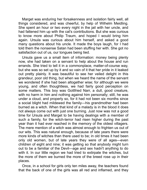Marget was enduring her forsakenness and isolation fairly well, all things considered, and was cheerful, by help of Wilhelm Meidling. She spent an hour or two every night in the jail with her uncle, and had fattened him up with the cat's contributions. But she was curious to know more about Philip Traum, and hoped I would bring him again. Ursula was curious about him herself, and asked a good many questions about his uncle. It made the boys laugh, for I had told them the nonsense Satan had been stuffing her with. She got no satisfaction out of us, our tongues being tied.

Ursula gave us a small item of information: money being plenty now, she had taken on a servant to help about the house and run errands. She tried to tell it in a commonplace, matter-of-course way, but she was so set up by it and so vain of it that her pride in it leaked out pretty plainly. It was beautiful to see her veiled delight in this grandeur, poor old thing, but when we heard the name of the servant we wondered if she had been altogether wise; for although we were young, and often thoughtless, we had fairly good perception on some matters. This boy was Gottfried Narr, a dull, good creature, with no harm in him and nothing against him personally; still, he was under a cloud, and properly so, for it had not been six months since a social blight had mildewed the family—his grandmother had been burned as a witch. When that kind of a malady is in the blood it does not always come out with just one burning. Just now was not a good time for Ursula and Marget to be having dealings with a member of such a family, for the witch-terror had risen higher during the past year than it had ever reached in the memory of the oldest villagers. The mere mention of a witch was almost enough to frighten us out of our wits. This was natural enough, because of late years there were more kinds of witches than there used to be; in old times it had been only old women, but of late years they were of all ages—even children of eight and nine; it was getting so that anybody might turn out to be a familiar of the Devil-age and sex hadn't anything to do with it. In our little region we had tried to extirpate the witches, but the more of them we burned the more of the breed rose up in their places.

Once, in a school for girls only ten miles away, the teachers found that the back of one of the girls was all red and inflamed, and they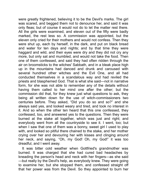were greatly frightened, believing it to be the Devil's marks. The girl was scared, and begged them not to denounce her, and said it was only fleas; but of course it would not do to let the matter rest there. All the girls were examined, and eleven out of the fifty were badly marked, the rest less so. A commission was appointed, but the eleven only cried for their mothers and would not confess. Then they were shut up, each by herself, in the dark, and put on black bread and water for ten days and nights; and by that time they were haggard and wild, and their eyes were dry and they did not cry any more, but only sat and mumbled, and would not take the food. Then one of them confessed, and said they had often ridden through the air on broomsticks to the witches' Sabbath, and in a bleak place high up in the mountains had danced and drunk and caroused with several hundred other witches and the Evil One, and all had conducted themselves in a scandalous way and had reviled the priests and blasphemed God. That is what she said-not in narrative form, for she was not able to remember any of the details without having them called to her mind one after the other; but the commission did that, for they knew just what questions to ask, they being all written down for the use of witch-commissioners two centuries before. They asked, "Did you do so and so?" and she always said yes, and looked weary and tired, and took no interest in it. And so when the other ten heard that this one confessed, they confessed, too, and answered yes to the questions. Then they were burned at the stake all together, which was just and right; and everybody went from all the countryside to see it. I went, too; but when I saw that one of them was a bonny, sweet girl I used to play with, and looked so pitiful there chained to the stake, and her mother crying over her and devouring her with kisses and clinging around her neck, and saying, "Oh, my God! Oh, my God!" it was too dreadful, and I went away.

It was bitter cold weather when Gottfried's grandmother was burned. It was charged that she had cured bad headaches by kneading the person's head and neck with her fingers-as she said —but really by the Devil's help, as everybody knew. They were going to examine her, but she stopped them, and confessed straight off that her power was from the Devil. So they appointed to burn her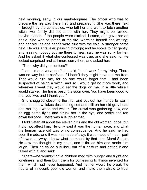next morning, early, in our market-square. The officer who was to prepare the fire was there first, and prepared it. She was there next —brought by the constables, who left her and went to fetch another witch. Her family did not come with her. They might be reviled, maybe stoned, if the people were excited. I came, and gave her an apple. She was squatting at the fire, warming herself and waiting; and her old lips and hands were blue with the cold. A stranger came next. He was a traveler, passing through; and he spoke to her gently, and, seeing nobody but me there to hear, said he was sorry for her. And he asked if what she confessed was true, and she said no. He looked surprised and still more sorry then, and asked her:

"Then why did you confess?"

"I am old and very poor," she said, "and I work for my living. There was no way but to confess. If I hadn't they might have set me free. That would ruin me, for no one would forget that I had been suspected of being a witch, and so I would get no more work, and wherever I went they would set the dogs on me. In a little while I would starve. The fire is best; it is soon over. You have been good to me, you two, and I thank you."

She snuggled closer to the fire, and put out her hands to warm them, the snow-flakes descending soft and still on her old gray head and making it white and whiter. The crowd was gathering now, and an egg came flying and struck her in the eye, and broke and ran down her face. There was a laugh at that.

I told Satan all about the eleven girls and the old woman, once, but it did not affect him. He only said it was the human race, and what the human race did was of no consequence. And he said he had seen it made; and it was not made of clay; it was made of mud—part of it was, anyway. I knew what he meant by that—the Moral Sense. He saw the thought in my head, and it tickled him and made him laugh. Then he called a bullock out of a pasture and petted it and talked with it, and said:

"There—he wouldn't drive children mad with hunger and fright and loneliness, and then burn them for confessing to things invented for them which had never happened. And neither would he break the hearts of innocent, poor old women and make them afraid to trust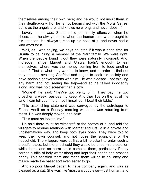themselves among their own race; and he would not insult them in their death-agony. For he is not besmirched with the Moral Sense, but is as the angels are, and knows no wrong, and never does it."

Lovely as he was, Satan could be cruelly offensive when he chose; and he always chose when the human race was brought to his attention. He always turned up his nose at it, and never had a kind word for it.

Well, as I was saying, we boys doubted if it was a good time for Ursula to be hiring a member of the Narr family. We were right. When the people found it out they were naturally indignant. And, moreover, since Marget and Ursula hadn't enough to eat themselves, where was the money coming from to feed another mouth? That is what they wanted to know; and in order to find out they stopped avoiding Gottfried and began to seek his society and have sociable conversations with him. He was pleased—not thinking any harm and not seeing the trap—and so he talked innocently along, and was no discreeter than a cow.

"Money!" he said; "they've got plenty of it. They pay me two groschen a week, besides my keep. And they live on the fat of the land, I can tell you; the prince himself can't beat their table."

This astonishing statement was conveyed by the astrologer to Father Adolf on a Sunday morning when he was returning from mass. He was deeply moved, and sad:

"This must be looked into."

He said there must be witchcraft at the bottom of it, and told the villagers to resume relations with Marget and Ursula in a private and unostentatious way, and keep both eyes open. They were told to keep their own counsel, and not rouse the suspicions of the household. The villagers were at first a bit reluctant to enter such a dreadful place, but the priest said they would be under his protection while there, and no harm could come to them, particularly if they carried a trifle of holy water along and kept their beads and crosses handy. This satisfied them and made them willing to go; envy and malice made the baser sort even eager to go.

And so poor Marget began to have company again, and was as pleased as a cat. She was like 'most anybody else—just human, and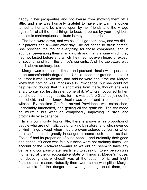happy in her prosperities and not averse from showing them off a little; and she was humanly grateful to have the warm shoulder turned to her and be smiled upon by her friends and the village again; for of all the hard things to bear, to be cut by your neighbors and left in contemptuous solitude is maybe the hardest.

The bars were down, and we could all go there now, and we did our parents and all—day after day. The cat began to strain herself. She provided the top of everything for those companies, and in abundance—among them many a dish and many a wine which they had not tasted before and which they had not even heard of except at second-hand from the prince's servants. And the tableware was much above ordinary, too.

Marget was troubled at times, and pursued Ursula with questions to an uncomfortable degree; but Ursula stood her ground and stuck to it that it was Providence, and said no word about the cat. Marget knew that nothing was impossible to Providence, but she could not help having doubts that this effort was from there, though she was afraid to say so, lest disaster come of it. Witchcraft occurred to her, but she put the thought aside, for this was before Gottfried joined the household, and she knew Ursula was pious and a bitter hater of witches. By the time Gottfried arrived Providence was established, unshakably intrenched, and getting all the gratitude. The cat made no murmur, but went on composedly improving in style and prodigality by experience.

In any community, big or little, there is always a fair proportion of people who are not malicious or unkind by nature, and who never do unkind things except when they are overmastered by fear, or when their self-interest is greatly in danger, or some such matter as that. Eseldorf had its proportion of such people, and ordinarily their good and gentle influence was felt, but these were not ordinary times—on account of the witch-dread—and so we did not seem to have any gentle and compassionate hearts left, to speak of. Every person was frightened at the unaccountable state of things at Marget's house, not doubting that witchcraft was at the bottom of it, and fright frenzied their reason. Naturally there were some who pitied Marget and Ursula for the danger that was gathering about them, but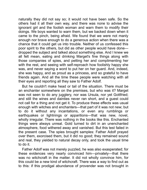naturally they did not say so; it would not have been safe. So the others had it all their own way, and there was none to advise the ignorant girl and the foolish woman and warn them to modify their doings. We boys wanted to warn them, but we backed down when it came to the pinch, being afraid. We found that we were not manly enough nor brave enough to do a generous action when there was a chance that it could get us into trouble. Neither of us confessed this poor spirit to the others, but did as other people would have done dropped the subject and talked about something else. And I knew we all felt mean, eating and drinking Marget's fine things along with those companies of spies, and petting her and complimenting her with the rest, and seeing with self-reproach how foolishly happy she was, and never saying a word to put her on her guard. And, indeed, she was happy, and as proud as a prncess, and so grateful to have friends again. And all the time these people were watching with all their eyes and reporting all they saw to Father Adolf.

But he couldn't make head or tail of the situation. There must be an enchanter somewhere on the premises, but who was it? Marget was not seen to do any jugglery, nor was Ursula, nor yet Gottfried; and still the wines and dainties never ran short, and a guest could not call for a thing and not get it. To produce these effects was usual enough with witches and enchanters—that part of it was not new; but to do it without any incantations, or even any rumblings or earthquakes or lightnings or apparitions—that was new, novel, wholly irregular. There was nothing in the books like this. Enchanted things were always unreal. Gold turned to dirt in an unenchanted atmosphere, food withered away and vanished. But this test failed in the present case. The spies brought samples: Father Adolf prayed over them, exorcised them, but it did no good; they remained sound and real, they yielded to natural decay only, and took the usual time to do it.

Father Adolf was not merely puzzled, he was also exasperated; for these evidences very nearly convinced him—privately—that there was no witchcraft in the matter. It did not wholly convince him, for this could be a new kind of witchcraft. There was a way to find out as to this: if this prodigal abundance of provender was not brought in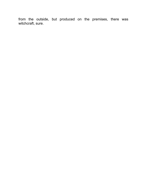from the outside, but produced on the premises, there was witchcraft, sure.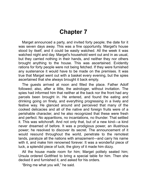## **Chapter 7**

Marget announced a party, and invited forty people; the date for it was seven days away. This was a fine opportunity. Marget's house stood by itself, and it could be easily watched. All the week it was watched night and day. Marget's household went out and in as usual, but they carried nothing in their hands, and neither they nor others brought anything to the house. This was ascertained. Evidently rations for forty people were not being fetched. If they were furnished any sustenance it would have to be made on the premises. It was true that Marget went out with a basket every evening, but the spies ascertained that she always brought it back empty.

The quests arrived at noon and filled the place. Father Adolf followed; also, after a little, the astrologer, without invitation. The spies had informed him that neither at the back nor the front had any parcels been brought in. He entered, and found the eating and drinking going on finely, and everything progressing in a lively and festive way. He glanced around and perceived that many of the cooked delicacies and all of the native and foreign fruits were of a perishable character, and he also recognized that these were fresh and perfect. No apparitions, no incantations, no thunder. That settled it. This was witchcraft. And not only that, but of a new kind—a kind never dreamed of before. It was a prodigious power, an illustrious power; he resolved to discover its secret. The announcement of it would resound throughout the world, penetrate to the remotest lands, paralyze all the nations with amazement—and carry his name with it, and make him renowned forever. It was a wonderful piece of luck, a splendid piece of luck; the glory of it made him dizzy.

All the house made room for him; Marget politely seated him; Ursula ordered Gottfried to bring a special table for him. Then she decked it and furnished it, and asked for his orders.

"Bring me what you will," he said.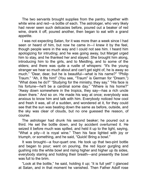The two servants brought supplies from the pantry, together with white wine and red—a bottle of each. The astrologer, who very likely had never seen such delicacies before, poured out a beaker of red wine, drank it off, poured another, then began to eat with a grand appetite.

I was not expecting Satan, for it was more than a week since I had seen or heard of him, but now he came in—I knew it by the feel, though people were in the way and I could not see him. I heard him apologizing for intruding; and he was going away, but Marget urged him to stay, and he thanked her and stayed. She brought him along, introducing him to the girls, and to Meidling, and to some of the elders; and there was quite a rustle of whispers: "It's the young stranger we hear so much about and can't get sight of, he is away so much." "Dear, dear, but he is beautiful—what is his name?" "Philip Traum." "Ah, it fits him!" (You see, "Traum" is German for "Dream.") "What does he do?" "Studying for the ministry, they say." "His face is his fortune—he'll be a cardinal some day." "Where is his home?" "Away down somewhere in the tropics, they say—has a rich uncle down there." And so on. He made his way at once; everybody was anxious to know him and talk with him. Everybody noticed how cool and fresh it was, all of a sudden, and wondered at it, for they could see that the sun was beating down the same as before, outside, and the sky was clear of clouds, but no one guessed the reason, of course.

The astrologer had drunk his second beaker; he poured out a third. He set the bottle down, and by accident overturned it. He seized it before much was spilled, and held it up to the light, saying, "What a pity-it is royal wine." Then his face lighted with joy or triumph, or something, and he said, "Quick! Bring a bowl."

It was brought—a four-quart one. He took up that two-pint bottle and began to pour; went on pouring, the red liquor gurgling and gushing into the white bowl and rising higher and higher up its sides, everybody staring and holding their breath—and presently the bowl was full to the brim.

"Look at the bottle," he said, holding it up; "it is full yet!" I glanced at Satan, and in that moment he vanished. Then Father Adolf rose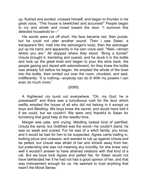up, flushed and excited, crossed himself, and began to thunder in his great voice, "This house is bewitched and accursed!" People began to cry and shriek and crowd toward the door. "I summon this detected household to—"

His words were cut off short. His face became red, then purple, but he could not utter another sound. Then I saw Satan, a transparent film, melt into the astrologer's body; then the astrologer put up his hand, and apparently in his own voice said, "Wait—remain where you are." All stopped where they stood. "Bring a funnel!" Ursula brought it, trembling and scared, and he stuck it in the bottle and took up the great bowl and began to pour the wine back, the people gazing and dazed with astonishment, for they knew the bottle was already full before he began. He emptied the whole of the bowl into the bottle, then smiled out over the room, chuckled, and said, indifferently: "It is nothing—anybody can do it! With my powers I can even do much more."

## {0095}

A frightened cry burst out everywhere. "Oh, my God, he is possessed!" and there was a tumultuous rush for the door which swiftly emptied the house of all who did not belong in it except us boys and Meidling. We boys knew the secret, and would have told it if we could, but we couldn't. We were very thankful to Satan for furnishing that good help at the needful time.

Marget was pale, and crying; Meidling looked kind of petrified; Ursula the same; but Gottfred was the worst—he couldn't stand, he was so weak and scared. For he was of a witch family, you know, and it would be bad for him to be suspected. Agnes came loafing in, looking pious and unaware, and wanted to rub up against Ursula and be petted, but Ursula was afraid of her and shrank away from her, but pretending she was not meaning any incivility, for she knew very well it wouldn't answer to have strained relations with that kind of a cat. But we boys took Agnes and petted her, for Satan would not have befriended her if he had not had a good opinion of her, and that was indorsement enough for us. He seemed to trust anything that hadn't the Moral Sense.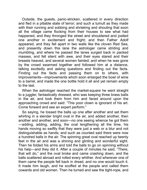Outside, the guests, panic-stricken, scattered in every direction and fled in a pitiable state of terror; and such a tumult as they made with their running and sobbing and shrieking and shouting that soon all the village came flocking from their houses to see what had happened, and they thronged the street and shouldered and jostled one another in excitement and fright; and then Father Adolf appeared, and they fell apart in two walls like the cloven Red Sea, and presently down this lane the astrologer came striding and mumbling, and where he passed the lanes surged back in packed masses, and fell silent with awe, and their eyes stared and their breasts heaved, and several women fanted; and when he was gone by the crowd swarmed together and followed him at a distance, talking excitedly and asking questions and finding out the facts. Finding out the facts and passing them on to others, with improvements—improvements which soon enlarged the bowl of wine to a barrel, and made the one bottle hold it all and yet remain empty to the last.

When the astrologer reached the market-square he went straight to a juggler, fantastically dressed, who was keeping three brass balls in the air, and took them from him and faced around upon the approaching crowd and said: "This poor clown is ignorant of his art. Come forward and see an expert perform."

So saying, he tossed the balls up one after another and set them whirling in a slender bright oval in the air, and added another, then another and another, and soon—no one seeing whence he got them -adding, adding, adding, the oval lengthening all the time, his hands moving so swiftly that they were just a web or a blur and not distinguishable as hands; and such as counted said there were now a hundred balls in the air. The spinning great oval reached up twenty feet in the air and was a shining and glinting and wonderful sight. Then he folded his arms and told the balls to go on spinning without his help—and they did it. After a couple of minutes he said, "There, that will do," and the oval broke and came crashing down, and the balls scattered abroad and rolled every whther. And wherever one of them came the people fell back in dread, and no one would touch it. It made him laugh, and he scoffed at the people and called them cowards and old women. Then he turned and saw the tight-rope, and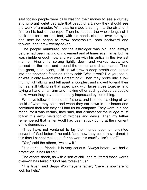said foolish people were daily wasting their money to see a clumsy and ignorant varlet degrade that beautiful art; now they should see the work of a master. With that he made a spring into the air and lit firm on his feet on the rope. Then he hopped the whole length of it back and forth on one foot, with his hands clasped over his eyes; and next he began to throw somersaults, both backward and forward, and threw twenty-seven.

The people murmured, for the astrologer was old, and always before had been halting of movement and at times even lame, but he was nimble enough now and went on with his antics in the liveliest manner. Finally he sprang lightly down and walked away, and passed up the road and around the corner and disappeared. Then that great, pale, silent, solid crowd drew a deep breath and looked into one another's faces as if they said: "Was it real? Did you see it, or was it only I—and was I dreaming?" Then they broke into a low murmur of talking, and fell apart in couples, and moved toward their homes, still talking in that awed way, with faces close together and laying a hand on an arm and making other such gestures as people make when they have been deeply impressed by something.

We boys followed behind our fathers, and listened, catching all we could of what they said; and when they sat down in our house and continued their talk they still had us for company. They were in a sad mood, for it was certain, they said, that disaster for the village must follow this awful visitation of witches and devils. Then my father remembered that father Adolf had been struck dumb at the moment of his denunciation.

"They have not ventured to lay their hands upon an anointed servant of God before," he said; "and how they could have dared it this time I cannot make out, for he wore his crucifix. Isn't it so?"

"Yes," said the others, "we saw it."

"It is serious, friends, it is very serious. Always before, we had a protection. It has failed."

The others shook, as with a sort of chill, and muttered those words over—"It has faled." "God has forsaken us."

"It is true," said Seppi Wohlmeyer's father; "there is nowhere to look for help."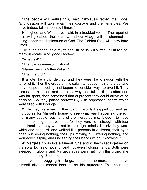"The people will realize this," said Nikolaus's father, the judge, "and despair will take away their courage and their energies. We have indeed fallen upon evil times."

He sighed, and Wohlmeyer said, in a troubled voice: "The report of it all will go about the country, and our village will be shunned as being under the displeasure of God. The Golden Stag will know hard times."

"True, neighbor," said my father; "all of us will suffer—all in repute, many in estate. And, good God!—"

"What is it?"

"That can come—to finish us!"

"Name it—um Gottes Willen!"

"The Interdict!"

It smote like a thunderclap, and they were like to swoon with the terror of it. Then the dread of this calamity roused their energies, and they stopped brooding and began to consider ways to avert it. They discussed this, that, and the other way, and talked till the afternoon was far spent, then confessed that at present they could arrive at no decision. So they parted sorrowfully, with oppressed hearts which were filled with bodings.

While they were saying their parting words I slipped out and set my course for Marget's house to see what was happening there. I met many people, but none of them greeted me. It ought to have been surprising, but it was not, for they were so distraught with fear and dread that they were not in their right minds, I think; they were white and haggard, and walked like persons in a dream, their eyes open but seeing nothing, their lips moving but uttering nothing, and worriedly clasping and unclasping their hands without knowing it.

At Marget's it was like a funeral. She and Wilhelm sat together on the sofa, but said nothing, and not even holding hands. Both were steeped in gloom, and Marget's eyes were red from the crying she had been doing. She said:

"I have been begging him to go, and come no more, and so save himself alive. I cannot bear to be his murderer. This house is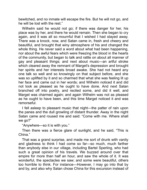bewitched, and no inmate will escape the fire. But he will not go, and he will be lost with the rest."

Wilhelm said he would not go; if there was danger for her, his place was by her, and there he would remain. Then she began to cry again, and it was all so mournful that I wished I had stayed away. There was a knock, now, and Satan came in, fresh and cheery and beautiful, and brought that winy atmosphere of his and changed the whole thing. He never said a word about what had been happening, nor about the awful fears which were freezing the blood in the hearts of the communty, but began to talk and rattle on about all manner of gay and pleasant things; and next about music—an artful stroke which cleared away the remnant of Marget's depression and brought her spirits and her interests broad awake. She had not heard any one talk so well and so knowngly on that subject before, and she was so uplifted by it and so charmed that what she was feeling lit up her face and came out in her words; and Wilhelm noticed it and did not look as pleased as he ought to have done. And next Satan branched off into poetry, and recited some, and did it well, and Marget was charmed again; and again Wilhelm was not as pleased as he ought to have been, and this time Marget noticed it and was remorseful.

I fell asleep to pleasant music that night—the patter of rain upon the panes and the dull growling of distant thunder. Away in the night Satan came and roused me and said: "Come with me. Where shall we go?"

"Anywhere—so it is with you."

Then there was a fierce glare of sunlight, and he said, "This is China."

That was a grand surprise, and made me sort of drunk with vanity and gladness to think I had come so far—so much, much farther than anybody else in our village, including Bartel Sperling, who had such a great opinion of his travels. We buzzed around over that empire for more than half an hour, and saw the whole of it. It was wonderful, the spectacles we saw; and some were beautiful, others too horrible to think. For instance—However, I may go into that by and by, and also why Satan chose China for this excursion instead of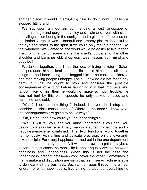another place; it would interrupt my tale to do it now. Finally we stopped flitting and lit.

We sat upon a mountain commanding a vast landscape of mountain-range and gorge and valley and plain and river, with cities and villages slumbering in the sunlight, and a glimpse of blue sea on the farther verge. It was a tranquil and dreamy picture, beautiful to the eye and restful to the spirit. If we could only make a change like that whenever we wanted to, the world would be easier to live in than it is, for change of scene shifts the mind's burdens to the other shoulder and banishes old, shop-worn wearinesses from mind and body both.

We talked together, and I had the idea of trying to reform Satan and persuade him to lead a better life. I told him about all those things he had been doing, and begged him to be more considerate and stop making people unhappy. I said I knew he did not mean any harm, but that he ought to stop and consider the possible consequences of a thing before launching it in that impulsive and random way of his; then he would not make so much trouble. He was not hurt by this plain speech; he only looked amused and surprised, and said:

"What? I do random things? Indeed, I never do. I stop and consider possible consequences? Where is the need? I know what the consequences are going to be—always."

"Oh, Satan, then how could you do these things?"

"Well, I will tell you, and you must understand if you can. You belong to a singular race. Every man is a suffering-machine and a happiness-machine combined. The two functions work together harmoniously, with a fine and delicate precision, on the give-andtake principle. For every happiness turned out in the one department the other stands ready to modify it with a sorrow or a pain—maybe a dozen. In most cases the man's life is about equally divided between happiness and unhappiness. When this is not the case the unhappiness predominates—always; never the other. Sometimes a man's make and disposition are such that his misery-machine is able to do nearly all the business. Such a man goes through life almost ignorant of what happiness is. Everything he touches, everything he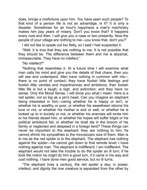does, brings a misfortune upon him. You have seen such people? To that kind of a person life is not an advantage, is it? It is only a disaster. Sometimes for an hour's happiness a man's machinery makes him pay years of misery. Don't you know that? It happens every now and then. I will give you a case or two presently. Now the people of your village are nothing to me—you know that, don't you?"

I did not like to speak out too flatly, so I said I had suspected it.

"Well, it is true that they are nothing to me. It is not possible that they should be. The difference between them and me is abysmal, immeasurable. They have no intellect."

"No intellect?"

"Nothing that resembles it. At a future time I will examine what man calls his mind and give you the details of that chaos, then you will see and understand. Men have nothing in common with methere is no point of contact; they have foolish little feelings and foolish little vanities and impertinences and ambitions; their foolish little life is but a laugh, a sigh, and extinction; and they have no sense. Only the Moral Sense. I will show you what I mean. Here is a red spider, not so big as a pin's head. Can you imagine an elephant being interested in him—caring whether he is happy or isn't, or whether he is wealthy or poor, or whether his sweetheart returns his love or not, or whether his mother is sick or well, or whether he is looked up to in society or not, or whether his enemies will smite him or his friends desert him, or whether his hopes will suffer blight or his political ambitions fail, or whether he shall die in the bosom of his family or neglected and despised in a foreign land? These things can never be important to the elephant; they are nothing to him; he cannot shrink his sympathies to the microscopic size of them. Man is to me as the red spider is to the elephant. The elephant has nothing against the spider—he cannot get down to that remote level; I have nothing against man. The elephant is indifferent; I am indifferent. The elephant would not take the trouble to do the spider an ill turn; if he took the notion he might do him a good turn, if it came in his way and cost nothing. I have done men good service, but no ill turns.

"The elephant lives a century, the red spider a day; in power, intellect, and dignity the one creature is separated from the other by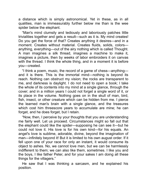a distance which is simply astronomical. Yet in these, as in all qualities, man is immeasurably further below me than is the wee spider below the elephant.

"Man's mind clumsily and tediously and laboriously patches little trivialities together and gets a result—such as it is. My mind creates! Do you get the force of that? Creates anything it desires—and in a moment. Creates without material. Creates fluids, solids, colorsanything, everything—out of the airy nothing which is called Thought. A man imagines a silk thread, imagines a machine to make it, imagines a picture, then by weeks of labor embroiders it on canvas with the thread. I think the whole thing, and in a moment it is before you—created.

"I think a poem, music, the record of a game of chess—anything and it is there. This is the immortal mind—nothing is beyond its reach. Nothing can obstruct my vision; the rocks are transparent to me, and darkness is daylight. I do not need to open a book; I take the whole of its contents into my mind at a single glance, through the cover; and in a million years I could not forget a single word of it, or its place in the volume. Nothing goes on in the skull of man, bird, fish, insect, or other creature which can be hidden from me. I pierce the learned man's brain with a single glance, and the treasures which cost him threescore years to accumulate are mine; he can forget, and he does forget, but I retain.

"Now, then, I perceive by your thoughts that you are understanding me fairly well. Let us proceed. Circumstances might so fall out that the elephant could like the spider—supposing he can see it—but he could not love it. His love is for his own kind—for his equals. An angel's love is sublime, adorable, divine, beyond the imagination of man—infinitely beyond it! But it is limited to his own august order. If it fell upon one of your race for only an instant, it would consume its object to ashes. No, we cannot love men, but we can be harmlessly indifferent to them; we can also like them, sometimes. I like you and the boys, I like father Peter, and for your sakes I am doing all these things for the villagers."

He saw that I was thinking a sarcasm, and he explained his position.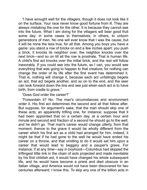"I have wrought well for the villagers, though it does not look like it on the surface. Your race never know good fortune from ll. They are always mistaking the one for the other. It is because they cannot see into the future. What I am doing for the villagers will bear good fruit some day; in some cases to themselves; in others, to unborn generations of men. No one will ever know that I was the cause, but it will be none the less true, for all that. Among you boys you have a game: you stand a row of bricks on end a few inches apart; you push a brick, it knocks its neighbor over, the neighbor knocks over the next brick—and so on till all the row is prostrate. That is human life. A child's first act knocks over the initial brick, and the rest will follow inexorably. If you could see into the future, as I can, you would see everything that was going to happen to that creature; for nothing can change the order of its life after the first event has determined it. That is, nothing will change it, because each act unfailingly begets an act, that act begets another, and so on to the end, and the seer can look forward down the line and see just when each act is to have birth, from cradle to grave."

"Does God order the career?"

"Foreordain it? No. The man's circumstances and environment order it. His first act determines the second and all that follow after. But suppose, for argument's sake, that the man should skip one of these acts; an apparently trifling one, for instance; suppose that it had been appointed that on a certain day, at a certain hour and minute and second and fraction of a second he should go to the well, and he didn't go. That man's career would change utterly, from that moment; thence to the grave it would be wholly different from the career which his first act as a child had arranged for him. Indeed, it might be that if he had gone to the well he would have ended his career on a throne, and that omitting to do it would set him upon a career that would lead to beggary and a pauper's grave. For instance: if at any time—say in boyhood—Columbus had skipped the triflingest little link in the chain of acts projected and made inevitable by his first childish act, it would have changed his whole subsequent life, and he would have become a priest and died obscure in an Italian village, and America would not have been discovered for two centuries afterward. I know this. To skip any one of the billion acts in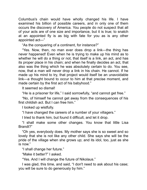Columbus's chain would have wholly changed his life. I have examined his billion of possible careers, and in only one of them occurs the discovery of America. You people do not suspect that all of your acts are of one size and importance, but it is true; to snatch at an appointed fly is as big with fate for you as is any other appointed act-"

"As the conquering of a continent, for instance?"

"Yes. Now, then, no man ever does drop a link—the thing has never happened! Even when he is trying to make up his mind as to whether he will do a thing or not, that itself is a link, an act, and has its proper place in his chain; and when he finally decides an act, that also was the thing which he was absolutely certain to do. You see, now, that a man will never drop a link in his chain. He cannot. If he made up his mind to try, that project would itself be an unavoidable link—a thought bound to occur to him at that precise moment, and made certain by the first act of his babyhood."

It seemed so dismal!

"He is a prisoner for life," I said sorrowfully, "and cannot get free."

"No, of himself he cannot get away from the consequences of his first childish act. But I can free him."

I looked up wistfully.

"I have changed the careers of a number of your villagers."

I tried to thank him, but found it difficult, and let it drop.

"I shall make some other changes. You know that little Lisa Brandt?"

"Oh yes, everybody does. My mother says she is so sweet and so lovely that she is not like any other child. She says she will be the pride of the village when she grows up; and its idol, too, just as she is now."

"I shall change her future."

"Make it better?" I asked.

"Yes. And I will change the future of Nikolaus."

I was glad, this time, and said, "I don't need to ask about his case; you will be sure to do generously by him."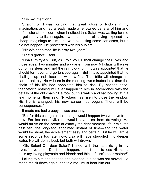"It is my intention."

Straight off I was building that great future of Nicky's in my imagination, and had already made a renowned general of him and hofmeister at the court, when I noticed that Satan was waiting for me to get ready to listen again. I was ashamed of having exposed my cheap imaginings to him, and was expecting some sarcasms, but it did not happen. He proceeded with his subject:

"Nicky's appointed life is sixty-two years."

"That's grand!" I said.

"Lisa's, thirty-six. But, as I told you, I shall change their lives and those ages. Two minutes and a quarter from now Nikolaus will wake out of his sleep and find the rain blowing in. It was appointed that he should turn over and go to sleep again. But I have appointed that he shall get up and close the window first. That trifle will change his career entirely. He will rise in the morning two minutes later than the chain of his life had appointed him to rise. By consequence, thenceforth nothing will ever happen to him in accordance with the details of the old chain." He took out his watch and sat looking at it a few moments, then said: "Nikolaus has risen to close the window. His life is changed, his new career has begun. There will be consequences."

It made me feel creepy; it was uncanny.

"But for this change certain things would happen twelve days from now. For instance, Nikolaus would save Lisa from drowning. He would arrive on the scene at exactly the right moment—four minutes past ten, the long-ago appointed instant of time—and the water would be shoal, the achievement easy and certain. But he will arrive some seconds too late, now; Lisa will have struggled into deeper water. He will do his best, but both will drown."

"Oh, Satan! Oh, dear Satan!" I cried, with the tears rising in my eyes, "save them! Don't let it happen. I can't bear to lose Nikolaus, he is my loving playmate and friend; and think of Lisa's poor mother!"

I clung to him and begged and pleaded, but he was not moved. He made me sit down again, and told me I must hear him out.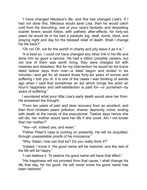"I have changed Nikolaus's life, and this has changed Lisa's. If I had not done this, Nikolaus would save Lisa, then he would catch cold from his drenching; one of your race's fantastic and desolating scarlet fevers would follow, with pathetic after-effects; for forty-six years he would lie in his bed a paralytic log, deaf, dumb, blind, and praying night and day for the blessed relief of death. Shall I change his life back?"

"Oh no! Oh, not for the world! In charity and pity leave it as it is."

"It is best so. I could not have changed any other link in his life and done him so good a service. He had a billion possible careers, but not one of them was worth living; they were charged full with miseries and disasters. But for my intervention he would do his brave deed twelve days from now—a deed begun and ended in six minutes—and get for all reward those forty-six years of sorrow and suffering I told you of. It is one of the cases I was thinking of awhile ago when I said that sometimes an act which brings the actor an hour's happiness and self-satisfaction is paid for—or punished—by years of suffering."

I wondered what poor little Lisa's early death would save her from. He answered the thought:

"From ten years of pain and slow recovery from an accident, and then from nineteen years' pollution, shame, depravity, crime, ending with death at the hands of the executioner. Twelve days hence she will die; her mother would save her life if she could. Am I not kinder than her mother?"

"Yes-oh, indeed yes; and wiser."

"Father Peter's case is coming on presently. He will be acquitted, through unassailable proofs of his innocence."

"Why, Satan, how can that be? Do you really think it?"

"Indeed, I know it. His good name will be restored, and the rest of his life will be happy."

"I can believe it. To restore his good name will have that effect."

"His happiness will not proceed from that cause. I shall change his life that day, for his good. He will never know his good name has been restored."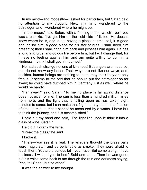In my mind—and modestly—I asked for particulars, but Satan paid no attention to my thought. Next, my mind wandered to the astrologer, and I wondered where he might be.

"In the moon," said Satan, with a fleeting sound which I believed was a chuckle. "I've got him on the cold side of it, too. He doesn't know where he is, and is not having a pleasant time; still, it is good enough for him, a good place for his star studies. I shall need him presently; then I shall bring him back and possess him again. He has a long and cruel and odious life before him, but I will change that, for I have no feeling against him and am quite willing to do him a kindness. I think I shall get him burned."

He had such strange notions of kindness! But angels are made so, and do not know any better. Their ways are not like our ways; and, besides, human beings are nothing to them; they think they are only freaks. It seems to me odd that he should put the astrologer so far away; he could have dumped him in Germany just as well, where he would be handy.

"Far away?" said Satan. "To me no place is far away; distance does not exist for me. The sun is less than a hundred million miles from here, and the light that is falling upon us has taken eight minutes to come; but I can make that flight, or any other, in a fraction of time so minute that it cannot be measured by a watch. I have but to think the journey, and it is accomplished."

I held out my hand and said, "The light lies upon it; think it into a glass of wine, Satan."

He did it. I drank the wine.

"Break the glass," he said.

I broke it.

"There—you see it is real. The villagers thought the brass balls were magic stuff and as perishable as smoke. They were afraid to touch them. You are a curious lot—your race. But come along; I have business. I will put you to bed." Said and done. Then he was gone; but his voice came back to me through the rain and darkness saying, "Yes, tell Seppi, but no other."

It was the answer to my thought.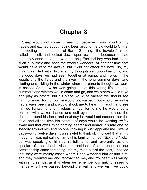## **Chapter 8**

Sleep would not come. It was not because I was proud of my travels and excited about having been around the big world to China, and feeling contemptuous of Bartel Sperling, "the traveler," as he called himself, and looked down upon us others because he had been to Vienna once and was the only Eseldorf boy who had made such a journey and seen the world's wonders. At another time that would have kept me awake, but it did not affect me now. No, my mind was filled with Nikolaus, my thoughts ran upon him only, and the good days we had seen together at romps and frolics in the woods and the fields and the river in the long summer days, and skating and sliding in the winter when our parents thought we were in school. And now he was going out of this young life, and the summers and winters would come and go, and we others would rove and play as before, but his place would be vacant; we should see him no more. To-morrow he would not suspect, but would be as he had always been, and it would shock me to hear him laugh, and see him do lightsome and frivolous things, for to me he would be a corpse, wth waxen hands and dull eyes, and I should see the shroud around his face; and next day he would not suspect, nor the next, and all the time his handful of days would be wasting swiftly away and that awful thing coming nearer and nearer, his fate closing steadily around him and no one knowing it but Seppi and me. Twelve days—only twelve days. It was awful to think of. I noticed that in my thoughts I was not calling him by his familiar names, Nick and Nicky, but was speaking of him by his full name, and reverently, as one speaks of the dead. Also, as incident after incident of our comradeship came thronging into my mind out of the past, I noticed that they were mainly cases where I had wronged him or hurt him, and they rebuked me and reproached me, and my heart was wrung with remorse, just as it is when we remember our unkindnesses to friends who have passed beyond the veil, and we wish we could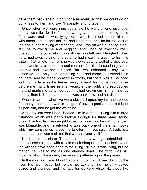have them back again, if only for a moment, so that we could go on our knees to them and say, "Have pity, and forgive."

Once when we were nine years old he went a long errand of nearly two miles for the fruiterer, who gave him a splendid big apple for reward, and he was flying home with it, almost beside himself with astonishment and delight, and I met him, and he let me look at the apple, not thinking of treachery, and I ran off with it, eating it as I ran, he following me and begging; and when he overtook me I offered him the core, which was all that was left; and I laughed. Then he turned away, crying, and said he had meant to give it to his little sister. That smote me, for she was slowly getting well of a sickness, and it would have been a proud moment for him, to see her joy and surprise and have her caresses. But I was ashamed to say I was ashamed, and only said something rude and mean, to pretend I did not care, and he made no reply in words, but there was a wounded look in his face as he turned away toward his home which rose before me many times in after years, in the night, and reproached me and made me ashamed again. It had grown dim in my mind, by and by, then it disappeared; but it was back now, and not dim.

Once at school, when we were eleven, I upset my ink and spoiled four copy-books, and was in danger of severe punishment; but I put it upon him, and he got the whipping.

And only last year I had cheated him in a trade, giving him a large fish-hook which was partly broken through for three small sound ones. The first fish he caught broke the hook, but he did not know I was blamable, and he refused to take back one of the small hooks which my conscience forced me to offer him, but said, "A trade is a trade; the hook was bad, but that was not your fault."

No, I could not sleep. These little, shabby wrongs upbraided me and tortured me, and with a pain much sharper than one feels when the wrongs have been done to the living. Nikolaus was living, but no matter; he was to me as one already dead. The wind was still moaning about the eaves, the rain still pattering upon the panes.

In the morning I sought out Seppi and told him. It was down by the river. His lips moved, but he did not say anything, he only looked dazed and stunned, and his face turned very white. He stood like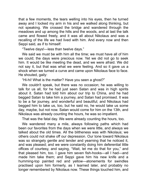that a few moments, the tears welling into his eyes, then he turned away and I locked my arm in his and we walked along thinking, but not speaking. We crossed the bridge and wandered through the meadows and up among the hills and the woods, and at last the talk came and flowed freely, and it was all about Nikolaus and was a recalling of the life we had lived with him. And every now and then Seppi said, as if to himself:

"Twelve days!—less than twelve days."

We said we must be with him all the time; we must have all of him we could; the days were precious now. Yet we did not go to seek him. It would be like meeting the dead, and we were afraid. We did not say it, but that was what we were feeling. And so it gave us a shock when we turned a curve and came upon Nikolaus face to face. He shouted, gaily:

"Hi-hi! What is the matter? Have you seen a ghost?"

We couldn't speak, but there was no occasion; he was willing to talk for us all, for he had just seen Satan and was in high spirits about it. Satan had told him about our trip to China, and he had begged Satan to take him a journey, and Satan had promised. It was to be a far journey, and wonderful and beautiful; and Nikolaus had begged him to take us, too, but he said no, he would take us some day, maybe, but not now. Satan would come for him on the 13th, and Nikolaus was already counting the hours, he was so impatient.

That was the fatal day. We were already counting the hours, too.

We wandered many a mile, always following paths which had been our favorites from the days when we were little, and always we talked about the old times. All the blitheness was with Nikolaus; we others could not shake off our depression. Our tone toward Nikolaus was so strangely gentle and tender and yearning that he noticed it, and was pleased; and we were constantly doing him deferential little offices of courtesy, and saying, "Wait, let me do that for you," and that pleased him, too. I gave him seven fish-hooks—all I had—and made him take them; and Seppi gave him his new knife and a humming-top painted red and yellow—atonements for swindles practised upon him formerly, as I learned later, and probably no longer remembered by Nikolaus now. These things touched him, and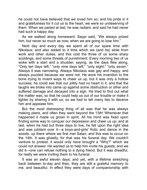he could not have believed that we loved him so; and his pride in it and gratefulness for it cut us to the heart, we were so undeserving of them. When we parted at last, he was radiant, and said he had never had such a happy day.

As we walked along homeward, Seppi said, "We always prized him, but never so much as now, when we are going to lose him."

Next day and every day we spent all of our spare time with Nikolaus; and also added to it time which we (and he) stole from work and other duties, and this cost the three of us some sharp scoldings, and some threats of punishment. Every morning two of us woke with a start and a shudder, saying, as the days flew along, "Only ten days left;" "only nine days left;" "only eight;" "only seven." Always it was narrowing. Always Nikolaus was gay and happy, and always puzzled because we were not. He wore his invention to the bone trying to invent ways to cheer us up, but it was only a hollow success; he could see that our jollity had no heart in it, and that the laughs we broke into came up against some obstruction or other and suffered damage and decayed into a sigh. He tried to find out what the matter was, so that he could help us out of our trouble or make it lighter by sharing it with us; so we had to tell many lies to deceive him and appease him.

But the most distressing thing of all was that he was always making plans, and often they went beyond the 13th! Whenever that happened it made us groan in spirit. All his mind was fixed upon finding some way to conquer our depression and cheer us up; and at last, when he had but three days to live, he fell upon the right idea and was jubilant over it—a boys-and-girls' frolic and dance in the woods, up there where we first met Satan, and this was to occur on the 14th. It was ghastly, for that was his funeral day. We couldn't venture to protest; it would only have brought a "Why?" which we could not answer. He wanted us to help him invite his guests, and we did it—one can refuse nothing to a dying friend. But it was dreadful, for really we were inviting them to his funeral.

It was an awful eleven days; and yet, with a lifetime stretching back between to-day and then, they are still a grateful memory to me, and beautiful. In effect they were days of companionship with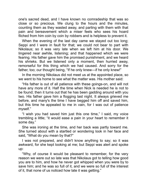one's sacred dead, and I have known no comradeship that was so close or so precious. We clung to the hours and the minutes, counting them as they wasted away, and parting with them with that pain and bereavement which a miser feels who sees his hoard filched from him coin by coin by robbers and is helpless to prevent it.

When the evening of the last day came we stayed out too long; Seppi and I were in fault for that; we could not bear to part with Nikolaus; so it was very late when we left him at his door. We lingered near awhile, listening; and that happened which we were fearing. His father gave him the promised punishment, and we heard his shrieks. But we listened only a moment, then hurried away, remorseful for this thing which we had caused. And sorry for the father, too; our thought being, "If he only knew—if he only knew!"

In the morning Nikolaus did not meet us at the appointed place, so we went to his home to see what the matter was. His mother said:

"His father is out of all patience with these goings-on, and will not have any more of it. Half the time when Nick is needed he is not to be found; then it turns out that he has been gadding around with you two. His father gave him a flogging last night. It always grieved me before, and many's the time I have begged him off and saved him, but this time he appealed to me in vain, for I was out of patience myself."

"I wish you had saved him just this one time," I said, my voice trembling a little; "it would ease a pain in your heart to remember it some day."

She was ironing at the time, and her back was partly toward me. She turned about with a startled or wondering look in her face and said, "What do you mean by that?"

I was not prepared, and didn't know anything to say; so it was awkward, for she kept looking at me; but Seppi was alert and spoke up:

"Why, of course it would be pleasant to remember, for the very reason we were out so late was that Nikolaus got to telling how good you are to him, and how he never got whipped when you were by to save him; and he was so full of it, and we were so full of the interest of it, that none of us noticed how late it was getting."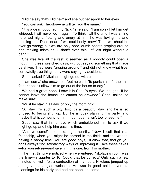"Did he say that? Did he?" and she put her apron to her eyes.

"You can ask Theodor—he will tell you the same."

"It is a dear, good lad, my Nick," she said. "I am sorry I let him get whipped; I will never do it again. To think—all the time I was sitting here last night, fretting and angry at him, he was loving me and praising me! Dear, dear, if we could only know! Then we shouldn't ever go wrong; but we are only poor, dumb beasts groping around and making mistakes. I shan't ever think of last night without a pang."

She was like all the rest; it seemed as if nobody could open a mouth, in these wretched days, without saying something that made us shiver. They were "groping around," and did not know what true, sorrowfully true things they were saying by accident.

Seppi asked if Nikolaus might go out with us.

"I am sorry," she answered, "but he can't. To punish him further, his father doesn't allow him to go out of the house to-day."

We had a great hope! I saw it in Seppi's eyes. We thought, "If he cannot leave the house, he cannot be drowned." Seppi asked, to make sure:

"Must he stay in all day, or only the morning?"

"All day. It's such a pity, too; it's a beautiful day, and he is so unused to being shut up. But he is busy planning his party, and maybe that is company for him. I do hope he isn't too lonesome."

Seppi saw that in her eye which emboldened him to ask if we might go up and help him pass his time.

"And welcome!" she said, right heartily. "Now I call that real friendship, when you might be abroad in the fields and the woods, having a happy time. You are good boys, I'll allow that, though you don't always find satisfactory ways of improving it. Take these cakes —for yourselves—and give him this one, from his mother."

The first thing we noticed when we entered Nikolaus's room was the time—a quarter to 10. Could that be correct? Only such a few minutes to live! I felt a contraction at my heart. Nikolaus jumped up and gave us a glad welcome. He was in good spirits over his plannings for his party and had not been lonesome.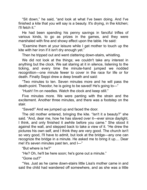"Sit down," he said, "and look at what I've been doing. And I've finished a kite that you will say is a beauty. It's drying, in the kitchen; I'll fetch it."

He had been spending his penny savings in fanciful trifles of various kinds, to go as prizes in the games, and they were marshaled with fine and showy effect upon the table. He said:

"Examine them at your leisure while I get mother to touch up the kite with her iron if it isn't dry enough yet."

Then he tripped out and went clattering down-stairs, whistling.

We did not look at the things; we couldn't take any interest in anything but the clock. We sat staring at it in silence, listening to the ticking, and every time the minute-hand jumped we nodded recognition—one minute fewer to cover in the race for life or for death. Finally Seppi drew a deep breath and said:

"Two minutes to ten. Seven minutes more and he will pass the death-point. Theodor, he is going to be saved! He's going to—"

"Hush! I'm on needles. Watch the clock and keep stll."

Five minutes more. We were panting with the strain and the excitement. Another three minutes, and there was a footstep on the stair.

"Saved!" And we jumped up and faced the door.

The old mother entered, bringing the kite. "Isn't it a beauty?" she said. "And, dear me, how he has slaved over it—ever since daylight, I think, and only finished it awhile before you came." She stood it against the wall, and stepped back to take a view of it. "He drew the pictures his own self, and I think they are very good. The church isn't so very good, I'll have to admit, but look at the bridge—any one can recognize the bridge in a minute. He asked me to bring it up.... Dear me! it's seven minutes past ten, and I—"

"But where is he?"

"He? Oh, he'll be here soon; he's gone out a minute."

"Gone out?"

"Yes. Just as he came down-stairs little Lisa's mother came in and said the child had wandered off somewhere, and as she was a little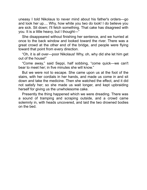uneasy I told Nikolaus to never mind about his father's orders-go and look her up.... Why, how white you two do look! I do believe you are sick. Sit down; I'll fetch something. That cake has disagreed with you. It is a little heavy, but I thought-"

She disappeared without finishing her sentence, and we hurried at once to the back window and looked toward the river. There was a great crowd at the other end of the bridge, and people were flying toward that point from every direction.

"Oh, it is all over—poor Nikolaus! Why, oh, why did she let him get out of the house!"

"Come away," said Seppi, half sobbing, "come quick—we can't bear to meet her; in five minutes she will know."

But we were not to escape. She came upon us at the foot of the stairs, with her cordials in her hands, and made us come in and sit down and take the medicine. Then she watched the effect, and it did not satisfy her; so she made us wait longer, and kept upbraiding herself for giving us the unwholesome cake.

Presently the thing happened which we were dreading. There was a sound of tramping and scraping outside, and a crowd came solemnly in, with heads uncovered, and laid the two drowned bodies on the bed.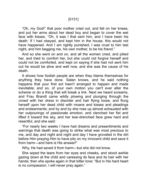## {0131}

"Oh, my God!" that poor mother cried out, and fell on her knees, and put her arms about her dead boy and began to cover the wet face with kisses. "Oh, it was I that sent him, and I have been his death. If I had obeyed, and kept him in the house, this would not have happened. And I am rightly punished; I was cruel to him last night, and him begging me, his own mother, to be his friend."

And so she went on and on, and all the women cried, and pitied her, and tried to comfort her, but she could not forgive herself and could not be comforted, and kept on saying if she had not sent him out he would be alive and well now, and she was the cause of his death.

It shows how foolish people are when they blame themselves for anything they have done. Satan knows, and he said nothing happens that your first act hasn't arranged to happen and made inevitable; and so, of your own motion you can't ever alter the scheme or do a thing that will break a link. Next we heard screams, and Frau Brandt came wildly plowing and plunging through the crowd with her dress in disorder and hair flying loose, and flung herself upon her dead child with moans and kisses and pleadings and endearments; and by and by she rose up almost exhausted wth her outpourings of passionate emotion, and clenched her fist and lifted it toward the sky, and her tear-drenched face grew hard and resentful, and she said:

"For nearly two weeks I have had dreams and presentments and warnings that death was going to strike what was most precious to me, and day and night and night and day I have groveled in the dirt before Him praying Him to have pity on my innocent child and save it from harm—and here is His answer!"

Why, He had saved it from harm—but she did not know.

She wiped the tears from her eyes and cheeks, and stood awhile gazing down at the child and caressing its face and its hair with her hands; then she spoke again in that bitter tone: "But in His hard heart is no compassion. I will never pray again."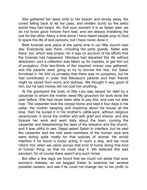She gathered her dead child to her bosom and strode away, the crowd falling back to let her pass, and smitten dumb by the awful words they had heard. Ah, that poor woman! It is as Satan said, we do not know good fortune from bad, and are always mistaking the one for the other. Many a time since I have heard people pray to God to spare the life of sick persons, but I have never done it.

Both funerals took place at the same time in our little church next day. Everybody was there, including the party guests. Satan was there, too; which was proper, for it was on account of his efforts that the funerals had happened. Nikolaus had departed this life without absolution, and a collection was taken up for masses, to get him out of purgatory. Only two-thirds of the required money was gathered, and the parents were going to try to borrow the rest, but Satan furnished it. He told us privately that there was no purgatory, but he had contributed in order that Nikolaus's parents and their friends might be saved from worry and distress. We thought it very good of him, but he said money did not cost him anything.

At the graveyard the body of little Lisa was seized for debt by a carpenter to whom the mother owed ffty groschen for work done the year before. She had never been able to pay this, and was not able now. The carpenter took the corpse home and kept it four days in his cellar, the mother weeping and imploring about his house all the time; then he buried it in his brother's cattle-yard, without religious ceremonies. It drove the mother wild with grief and shame, and she forsook her work and went daily about the town, cursing the carpenter and blaspheming the laws of the emperor and the church, and it was pitiful to see. Seppi asked Satan to interfere, but he said the carpenter and the rest were members of the human race and were acting quite neatly for that species of animal. He would interfere if he found a horse acting in such a way, and we must inform him when we came across that kind of horse doing that kind of human thing, so that he could stop it. We believed this was sarcasm, for of course there wasn't any such horse.

But after a few days we found that we could not abide that poor woman's distress, so we begged Satan to examine her several possible careers, and see if he could not change her, to her profit, to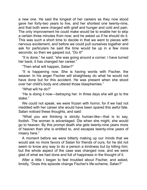a new one. He said the longest of her careers as they now stood gave her forty-two years to live, and her shortest one twenty-nine, and that both were charged with grief and hunger and cold and pain. The only improvement he could make would be to enable her to skip a certain three minutes from now; and he asked us if he should do it. This was such a short time to decide in that we went to pieces with nervous excitement, and before we could pull ourselves together and ask for particulars he said the time would be up in a few more seconds; so then we gasped out, "Do it!"

"It is done," he said; "she was going around a corner; I have turned her back; it has changed her career."

"Then what wll happen, Satan?"

"It is happening now. She is having words with Fischer, the weaver. In his anger Fischer will straightway do what he would not have done but for this accident. He was present when she stood over her child's body and uttered those blasphemies."

"What will he do?"

"He is doing it now—betraying her. In three days she will go to the stake."

We could not speak; we were frozen with horror, for if we had not meddled with her career she would have been spared this awful fate. Satan noticed these thoughts, and said:

"What you are thinking is strictly human-like—that is to say, foolish. The woman is advantaged. Die when she might, she would go to heaven. By this prompt death she gets twenty-nine years more of heaven than she is entitled to, and escapes twenty-nine years of misery here."

A moment before we were bitterly making up our minds that we would ask no more favors of Satan for friends of ours, for he did not seem to know any way to do a person a kindness but by killing him; but the whole aspect of the case was changed now, and we were glad of what we had done and full of happiness in the thought of it.

After a little I began to feel troubled about Fischer, and asked, timidly, "Does this episode change Fischer's life-scheme, Satan?"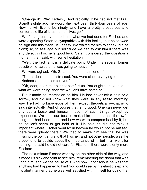"Change it? Why, certainly. And radically. If he had not met Frau Brandt awhile ago he would die next year, thirty-four years of age. Now he will live to be ninety, and have a pretty prosperous and comfortable life of it, as human lives go."

We felt a great joy and pride in what we had done for Fischer, and were expecting Satan to sympathize with this feeling; but he showed no sign and this made us uneasy. We waited for him to speak, but he didn't; so, to assuage our solicitude we had to ask him if there was any defect in Fischer's good luck. Satan considered the question a moment, then said, with some hesitation:

"Well, the fact is, it is a delicate point. Under his several former possible life-careers he was going to heaven."

We were aghast. "Oh, Satan! and under this one—"

"There, don't be so distressed. You were sincerely trying to do him a kindness; let that comfort you."

"Oh, dear, dear, that cannot comfort us. You ought to have told us what we were doing, then we wouldn't have acted so."

But it made no impression on him. He had never felt a pain or a sorrow, and did not know what they were, in any really informing way. He had no knowledge of them except theoretically—that is to say, intellectually. And of course that is no good. One can never get any but a loose and ignorant notion of such things except by experience. We tried our best to make him comprehend the awful thing that had been done and how we were compromised by it, but he couldn't seem to get hold of it. He said he did not think it important where Fischer went to; in heaven he would not be missed, there were "plenty there." We tried to make him see that he was missing the point entirely; that Fischer, and not other people, was the proper one to decide about the importance of it; but it all went for nothing; he said he did not care for Fischer—there were plenty more Fischers.

The next minute Fischer went by on the other side of the way, and it made us sick and faint to see him, remembering the doom that was upon him, and we the cause of it. And how unconscious he was that anything had happened to him! You could see by his elastic step and his alert manner that he was well satisfied with himself for doing that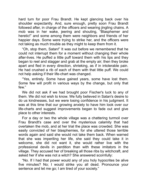hard turn for poor Frau Brandt. He kept glancing back over his shoulder expectantly. And, sure enough, pretty soon Frau Brandt followed after, in charge of the officers and wearing jingling chains. A mob was in her wake, jeering and shouting, "Blasphemer and heretic!" and some among them were neighbors and friends of her happier days. Some were trying to strike her, and the officers were not taking as much trouble as they might to keep them from it.

"Oh, stop them, Satan!" It was out before we remembered that he could not interrupt them for a moment without changing their whole after-lives. He puffed a little puff toward them with his lips and they began to reel and stagger and grab at the empty air; then they broke apart and fled in every direction, shrieking, as if in intolerable pain. He had crushed a rib of each of them with that little puff. We could not help asking if their life-chart was changed.

"Yes, entirely. Some have gained years, some have lost them. Some few will profit in various ways by the change, but only that few"

We did not ask if we had brought poor Fischer's luck to any of them. We did not wish to know. We fully believed in Satan's desire to do us kindnesses, but we were losing confidence in his judgment. It was at this time that our growing anxiety to have him look over our life-charts and suggest improvements began to fade out and give place to other interests.

For a day or two the whole village was a chattering turmoil over Frau Brandt's case and over the mysterious calamity that had overtaken the mob, and at her trial the place was crowded. She was easily convicted of her blasphemies, for she uttered those terrible words again and said she would not take them back. When warned that she was imperiling her life, she said they could take it in welcome, she did not want it, she would rather live with the professional devils in perdition than with these imitators in the village. They accused her of breaking all those ribs by witchcraft, and asked her if she was not a witch? She answered scornfully:

"No. If I had that power would any of you holy hypocrites be alive five minutes? No; I would strike you all dead. Pronounce your sentence and let me go; I am tired of your society."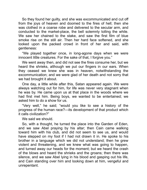So they found her guilty, and she was excommunicated and cut off from the joys of heaven and doomed to the fres of hell; then she was clothed in a coarse robe and delivered to the secular arm, and conducted to the market-place, the bell solemnly tolling the while. We saw her chained to the stake, and saw the first film of blue smoke rise on the still air. Then her hard face softened, and she looked upon the packed crowd in front of her and said, with gentleness:

"We played together once, in long-agone days when we were innocent little creatures. For the sake of that, I forgive you."

We went away then, and did not see the fires consume her, but we heard the shrieks, although we put our fingers in our ears. When they ceased we knew she was in heaven, notwithstanding the excommunication; and we were glad of her death and not sorry that we had brought it about.

One day, a little while after this, Satan appeared again. We were always watching out for him, for life was never very stagnant when he was by. He came upon us at that place in the woods where we had first met him. Being boys, we wanted to be entertained; we asked him to do a show for us.

"Very well," he said; "would you like to see a history of the progress of the human race?—its development of that product which it calls civilization?"

We said we should.

So, with a thought, he turned the place into the Garden of Eden, and we saw Abel praying by his altar; then Cain came walking toward him with his club, and did not seem to see us, and would have stepped on my foot if I had not drawn it in. He spoke to his brother in a language which we did not understand; then he grew violent and threatening, and we knew what was going to happen, and turned away our heads for the moment; but we heard the crash of the blows and heard the shrieks and the groans; then there was silence, and we saw Abel lying in his blood and gasping out his life, and Cain standing over him and looking down at him, vengeful and unrepentant.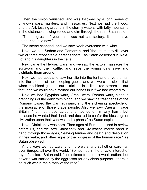Then the vision vanished, and was followed by a long series of unknown wars, murders, and massacres. Next we had the Flood, and the Ark tossing around in the stormy waters, with lofty mountains in the distance showing veiled and dim through the rain. Satan said:

"The progress of your race was not satisfactory. It is to have another chance now."

The scene changed, and we saw Noah overcome with wine.

Next, we had Sodom and Gomorrah, and "the attempt to discover two or three respectable persons there," as Satan described it. Next, Lot and his daughters in the cave.

Next came the Hebraic wars, and we saw the victors massacre the survivors and their cattle, and save the young girls alive and distribute them around.

Next we had Jael; and saw her slip into the tent and drive the nail into the temple of her sleeping guest; and we were so close that when the blood qushed out it trickled in a little, red stream to our feet, and we could have stained our hands in it if we had wanted to.

Next we had Egyptian wars, Greek wars, Roman wars, hideous drenchings of the earth with blood; and we saw the treacheries of the Romans toward the Carthaginians, and the sickening spectacle of the massacre of those brave people. Also we saw Caesar invade Britain—"not that those barbarians had done him any harm, but because he wanted their land, and desired to confer the blessings of civilization upon their widows and orphans," as Satan explained.

Next, Christianity was born. Then ages of Europe passed in review before us, and we saw Christianity and Civilization march hand in hand through those ages, "leaving famine and death and desolation in their wake, and other signs of the progress of the human race," as Satan observed.

And always we had wars, and more wars, and stll other wars—all over Europe, all over the world. "Sometimes in the private interest of royal families," Satan said, "sometimes to crush a weak nation; but never a war started by the aggressor for any clean purpose—there is no such war in the history of the race."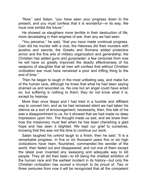"Now," said Satan, "you have seen your progress down to the present, and you must confess that it is wonderful—in its way. We must now exhibit the future."

He showed us slaughters more terrible in their destruction of life, more devastating in their engines of war, than any we had seen.

"You perceive," he said, "that you have made continual progress. Cain did his murder with a club; the Hebrews did their murders with javelins and swords; the Greeks and Romans added protective armor and the fine arts of military organization and generalship; the Christian has added guns and gunpowder; a few centuries from now he will have so greatly improved the deadly effectiveness of his weapons of slaughter that all men will confess that without Christian civilization war must have remained a poor and trifling thing to the end of time."

Then he began to laugh in the most unfeeling way, and make fun of the human race, although he knew that what he had been sayng shamed us and wounded us. No one but an angel could have acted so; but suffering is nothing to them; they do not know what it is, except by hearsay.

More than once Seppi and I had tried in a humble and diffident way to convert him, and as he had remained silent we had taken his silence as a sort of encouragement; necessarily, then, this talk of his was a disappointment to us, for it showed that we had made no deep impression upon him. The thought made us sad, and we knew then how the missionary must feel when he has been cherishing a glad hope and has seen it blighted. We kept our grief to ourselves, knowing that this was not the time to continue our work.

Satan laughed his unkind laugh to a finish; then he said: "It is a remarkable progress. In five or six thousand years five or six high civilizations have risen, flourished, commanded the wonder of the world, then faded out and disappeared; and not one of them except the latest ever invented any sweeping and adequate way to kill people. They all did their best—to kill being the chiefest ambition of the human race and the earliest incident in its history—but only the Christian civilization has scored a triumph to be proud of. Two or three centuries from now it will be recognized that all the competent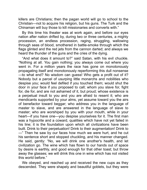killers are Christians; then the pagan world will go to school to the Christian—not to acquire his religion, but his guns. The Turk and the Chinaman will buy those to kill missionaries and converts with."

By this time his theater was at work again, and before our eyes nation after nation drifted by, during two or three centuries, a mighty procession, an endless procession, raging, struggling, wallowing through seas of blood, smothered in battle-smoke through which the flags glinted and the red jets from the cannon darted; and always we heard the thunder of the guns and the cries of the dying.

"And what does it amount to?" said Satan, with his evil chuckle. "Nothing at all. You gain nothing; you always come out where you went in. For a million years the race has gone on monotonously propagating itself and monotonously reperforming this dull nonsense —to what end? No wisdom can guess! Who gets a profit out of it? Nobody but a parcel of usurping little monarchs and nobilities who despise you; would feel defiled if you touched them; would shut the door in your face if you proposed to call; whom you slave for, fight for, die for, and are not ashamed of it, but proud; whose existence is a perpetual insult to you and you are afraid to resent it; who are mendicants supported by your alms, yet assume toward you the airs of benefactor toward beggar; who address you in the language of master to slave, and are answered in the language of slave to master; who are worshiped by you with your mouth, while in your heart—if you have one—you despise yourselves for it. The first man was a hypocrite and a coward, qualities which have not yet failed in his line; it is the foundation upon which all civilizations have been built. Drink to their perpetuation! Drink to their augmentation! Drink to —" Then he saw by our faces how much we were hurt, and he cut his sentence short and stopped chuckling, and his manner changed. He said, gently: "No, we will drink one another's health, and let civilization go. The wine which has flown to our hands out of space by desire is earthly, and good enough for that other toast; but throw away the glasses; we will drink this one in wine which has not visited this world before."

We obeyed, and reached up and received the new cups as they descended. They were shapely and beautiful goblets, but they were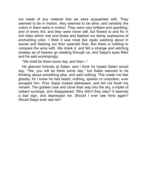not made of any material that we were acquainted with. They seemed to be in motion, they seemed to be alive; and certainly the colors in them were in motion. They were very brilliant and sparkling, and of every tint, and they were never still, but flowed to and fro in rich tides which met and broke and flashed out dainty explosions of enchanting color. I think it was most like opals washing about in waves and flashing out their splendid fires. But there is nothing to compare the wine with. We drank it, and felt a strange and witching ecstasy as of heaven go stealing through us, and Seppi's eyes filled and he said worshipingly:

"We shall be there some day, and then—"

He glanced furtively at Satan, and I think he hoped Satan would say, "Yes, you will be there some day," but Satan seemed to be thinking about something else, and said nothing. This made me feel ghastly, for I knew he had heard; nothng, spoken or unspoken, ever escaped him. Poor Seppi looked distressed, and did not finish his remark. The goblets rose and clove their way into the sky, a triplet of radiant sundogs, and disappeared. Why didn't they stay? It seemed a bad sign, and depressed me. Should I ever see mine again? Would Seppi ever see his?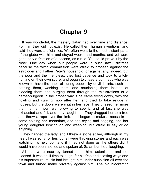## **Chapter 9**

It was wonderful, the mastery Satan had over time and distance. For him they did not exist. He called them human inventions, and said they were artificialities. We often went to the most distant parts of the globe with him, and stayed weeks and months, and yet were gone only a fraction of a second, as a rule. You could prove it by the clock. One day when our people were in such awful distress because the witch commission were afraid to proceed against the astrologer and Father Peter's household, or against any, indeed, but the poor and the friendless, they lost patience and took to witchhunting on their own score, and began to chase a born lady who was known to have the habit of curing people by devilish arts, such as bathing them, washing them, and nourishing them instead of bleeding them and purging them through the ministrations of a barber-surgeon in the proper way. She came flying down, with the howling and cursing mob after her, and tried to take refuge in houses, but the doors were shut in her face. They chased her more than half an hour, we following to see it, and at last she was exhausted and fell, and they caught her. They dragged her to a tree and threw a rope over the limb, and began to make a noose in it, some holding her, meantime, and she crying and begging, and her young daughter looking on and weeping, but afraid to say or do anything.

They hanged the lady, and I threw a stone at her, although in my heart I was sorry for her; but all were throwng stones and each was watching his neighbor, and if I had not done as the others did it would have been noticed and spoken of. Satan burst out laughing.

All that were near by turned upon him, astonished and not pleased. It was an ill time to laugh, for his free and scoffing ways and his supernatural music had brought him under suspicion all over the town and turned many privately against him. The big blacksmith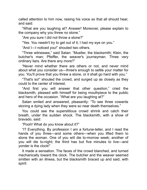called attention to him now, raising his voice so that all should hear, and sad:

"What are you laughing at? Answer! Moreover, please explain to the company why you threw no stone."

"Are you sure I did not throw a stone?"

"Yes. You needn't try to get out of it; I had my eye on you."

"And I-I noticed you!" shouted two others.

"Three witnesses," said Satan: "Mueller, the blacksmith; Klein, the butcher's man; Pfeffer, the weaver's journeyman. Three very ordinary liars. Are there any more?"

"Never mind whether there are others or not, and never mind about what you consder us—three's enough to settle your matter for you. You'll prove that you threw a stone, or it shall go hard with you."

"That's so!" shouted the crowd, and surged up as closely as they could to the center of interest.

"And first you will answer that other question," cried the blacksmith, pleased with himself for being mouthpiece to the public and hero of the occasion. "What are you laughing at?"

Satan smled and answered, pleasantly: "To see three cowards stoning a dying lady when they were so near death themselves."

You could see the superstitious crowd shrink and catch their breath, under the sudden shock. The blacksmith, with a show of bravado, said:

"Pooh! What do you know about it?"

"I? Everything. By profession I am a fortune-teller, and I read the hands of you three—and some others—when you lifted them to stone the woman. One of you will die to-morrow week; another of you will die to-night; the third has but five minutes to live—and yonder is the clock!"

It made a sensation. The faces of the crowd blanched, and turned mechanically toward the clock. The butcher and the weaver seemed smitten with an illness, but the blacksmith braced up and said, with spirit: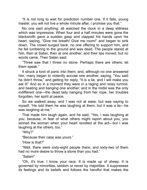"It is not long to wait for prediction number one. If it fails, young master, you will not live a whole minute after, I promise you that."

No one said anything; all watched the clock in a deep stillness which was impressive. When four and a half minutes were gone the blacksmith gave a sudden gasp and clapped his hands upon his heart, saying, "Give me breath! Give me room!" and began to sink down. The crowd surged back, no one offering to support him, and he fell lumbering to the ground and was dead. The people stared at him, then at Satan, then at one another; and their lips moved, but no words came. Then Satan sad:

"Three saw that I threw no stone. Perhaps there are others; let them speak."

It struck a kind of panic into them, and, although no one answered him, many began to violently accuse one another, saying, "You said he didn't throw," and getting for reply, "It is a lie, and I will make you eat it!" And so in a moment they were in a raging and noisy turmoil, and beating and banging one another; and in the midst was the only indifferent one—the dead lady hanging from her rope, her troubles forgotten, her spirit at peace.

So we walked away, and I was not at ease, but was saying to myself, "He told them he was laughing at them, but it was a lie—he was laughing at me."

That made him laugh again, and he said, "Yes, I was laughing at you, because, in fear of what others might report about you, you stoned the woman when your heart revolted at the act—but I was laughing at the others, too."

"Why?"

"Because their case was yours."

"How is that?"

"Well, there were sixty-eight people there, and sixty-two of them had no more desire to throw a stone than you had."

"Satan!"

"Oh, it's true. I know your race. It is made up of sheep. It is governed by minorities, seldom or never by majorities. It suppresses its feelings and its beliefs and follows the handful that makes the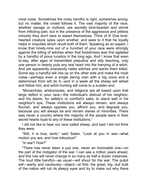most noise. Sometimes the noisy handful is right, sometimes wrong; but no matter, the crowd follows it. The vast majority of the race, whether savage or civilized, are secretly kind-hearted and shrink from inflicting pain, but in the presence of the aggressive and pitiless minority they don't dare to assert themselves. Think of it! One kindhearted creature spies upon another, and sees to it that he loyally helps in iniquities which revolt both of them. Speaking as an expert, I know that ninety-nine out of a hundred of your race were strongly against the killing of witches when that foolishness was first agitated by a handful of pious lunatics in the long ago. And I know that even to-day, after ages of transmitted prejudice and silly teaching, only one person in twenty puts any real heart into the harrying of a witch. And yet apparently everybody hates witches and wants them killed. Some day a handful will rise up on the other side and make the most noise—perhaps even a single daring man with a big voice and a determined front will do it—and in a week all the sheep will wheel and follow him, and witch-hunting will come to a sudden end.

"Monarchies, aristocracies, and religions are all based upon that large defect in your race—the individual's distrust of his neighbor, and his desire, for safety's or comfort's sake, to stand well in his neighbor's eye. These institutions will always remain, and always flourish, and always oppress you, affront you, and degrade you, because you will always be and remain slaves of minorities. There was never a country where the majority of the people were in their secret hearts loyal to any of these institutions."

I did not like to hear our race called sheep, and said I did not think they were.

"Still, it is true, lamb," said Satan. "Look at you in war—what mutton you are, and how ridiculous!"

"In war? How?"

"There has never been a just one, never an honorable one—on the part of the instigator of the war. I can see a million years ahead, and this rule will never change in so many as half a dozen instances. The loud little handful—as usual—will shout for the war. The pulpit will—warily and cautiously—object—at first; the great, big, dull bulk of the nation will rub its sleepy eyes and try to make out why there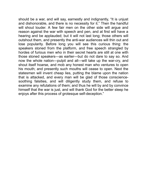should be a war, and will say, earnestly and indignantly, "It is unjust and dishonorable, and there is no necessity for it." Then the handful will shout louder. A few fair men on the other side will argue and reason against the war with speech and pen, and at first will have a hearing and be applauded; but it will not last long; those others will outshout them, and presently the anti-war audiences will thin out and lose popularity. Before long you will see this curious thing: the speakers stoned from the platform, and free speech strangled by hordes of furious men who in their secret hearts are still at one with those stoned speakers—as earlier—but do not dare to say so. And now the whole nation—pulpit and all—will take up the war-cry, and shout itself hoarse, and mob any honest man who ventures to open his mouth; and presently such mouths will cease to open. Next the statesmen will invent cheap lies, putting the blame upon the nation that is attacked, and every man will be glad of those consciencesoothing falsities, and will diligently study them, and refuse to examine any refutations of them; and thus he will by and by convince himself that the war is just, and will thank God for the better sleep he enjoys after this process of grotesque self-deception."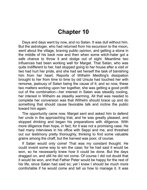## **Chapter 10**

Days and days went by now, and no Satan. It was dull without him. But the astrologer, who had returned from his excursion to the moon, went about the village, braving public opinion, and getting a stone in the middle of his back now and then when some witch-hater got a safe chance to throw it and dodge out of sight. Meantime two influences had been working well for Marget. That Satan, who was quite indifferent to her, had stopped going to her house after a visit or two had hurt her pride, and she had set herself the task of banishing him from her heart. Reports of Wilhelm Meidling's dissipation brought to her from time to time by old Ursula had touched her with remorse, jealousy of Satan being the cause of it; and so now, these two matters working upon her together, she was getting a good profit out of the combination—her interest in Satan was steadily cooling, her interest in Wilhelm as steadily warming. All that was needed to complete her conversion was that Wilhelm should brace up and do something that should cause favorable talk and incline the public toward him again.

The opportunity came now. Marget sent and asked him to defend her uncle in the approaching trial, and he was greatly pleased, and stopped drinking and began his preparations with diligence. With more diligence than hope, in fact, for it was not a promising case. He had many interviews in his office with Seppi and me, and threshed out our testimony pretty thoroughly, thinking to find some valuable grains among the chaff, but the harvest was poor, of course.

If Satan would only come! That was my constant thought. He could invent some way to win the case; for he had said it would be won, so he necessarily knew how it could be done. But the days dragged on, and still he did not come. Of course I did not doubt that t would be won, and that Father Peter would be happy for the rest of his life, since Satan had said so; yet I knew I should be much more comfortable if he would come and tell us how to manage it. It was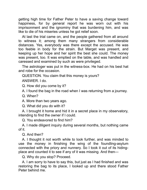getting high time for Father Peter to have a saving change toward happiness, for by general report he was worn out with his imprisonment and the ignominy that was burdening him, and was like to die of his miseries unless he got relief soon.

At last the trial came on, and the people gathered from all around to witness it; among them many strangers from considerable distances. Yes, everybody was there except the accused. He was too feeble in body for the strain. But Marget was present, and keeping up her hope and her spirit the best she could. The money was present, too. It was emptied on the table, and was handled and caressed and examined by such as were privileged.

The astrologer was put in the witness-box. He had on his best hat and robe for the occasion.

QUESTION. You claim that this money is yours?

ANSWER. I do.

Q. How did you come by it?

A. I found the bag in the road when I was returning from a journey.

Q. When?

A. More than two years ago.

Q. What did you do with it?

A. I brought it home and hid it in a secret place in my observatory, intending to find the owner if I could.

Q. You endeavored to find him?

A. I made diligent inquiry during several months, but nothing came of it.

Q. And then?

A. I thought it not worth while to look further, and was minded to use the money in finishing the wing of the foundling-asylum connected with the priory and nunnery. So I took it out of its hidingplace and counted it to see if any of it was missing. And then—

Q. Why do you stop? Proceed.

A. I am sorry to have to say this, but just as I had finished and was restoring the bag to its place, I looked up and there stood Father Peter behind me.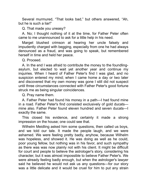Several murmured, "That looks bad," but others answered, "Ah, but he is such a liar!"

Q. That made you uneasy?

A. No; I thought nothing of it at the time, for Father Peter often came to me unannounced to ask for a little help in his need.

Marget blushed crimson at hearing her uncle falsely and impudently charged with begging, especially from one he had always denounced as a fraud, and was going to speak, but remembered herself in time and held her peace.

Q. Proceed.

A. In the end I was afraid to contribute the money to the foundlingasylum, but elected to wait yet another year and continue my inquiries. When I heard of Father Peter's find I was glad, and no suspicion entered my mind; when I came home a day or two later and discovered that my own money was gone I still did not suspect until three circumstances connected with Father Peter's good fortune struck me as being singular coincidences.

Q. Pray name them.

A. Father Peter had found his money in a path—I had found mine in a road. Father Peter's find consisted exclusively of gold ducats mine also. Father Peter found eleven hundred and seven ducats—I exactly the same.

This closed his evidence, and certainly it made a strong impression on the house; one could see that.

Wilhelm Meidling asked him some questions, then called us boys, and we told our tale. It made the people laugh, and we were ashamed. We were feeling pretty badly, anyhow, because Wilhelm was hopeless, and showed it. He was doing as well as he could, poor young fellow, but nothing was in his favor, and such sympathy as there was was now plainly not with his client. It might be difficult for court and people to believe the astrologer's story, considering his character, but it was almost impossible to believe Father Peter's. We were already feeling badly enough, but when the astrologer's lawyer said he believed he would not ask us any questions—for our story was a little delicate and it would be cruel for him to put any strain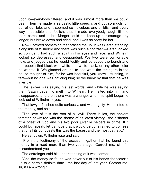upon it—everybody tittered, and it was almost more than we could bear. Then he made a sarcastic little speech, and got so much fun out of our tale, and it seemed so ridiculous and childish and every way impossible and foolish, that it made everybody laugh till the tears came; and at last Marget could not keep up her courage any longer, but broke down and cried, and I was so sorry for her.

Now I noticed something that braced me up. It was Satan standing alongsde of Wlhelm! And there was such a contrast!—Satan looked so confident, had such a spirit in his eyes and face, and Wilhelm looked so depressed and despondent. We two were comfortable now, and judged that he would testfy and persuade the bench and the people that black was white and white black, or any other color he wanted it. We glanced around to see what the strangers in the house thought of him, for he was beautiful, you know—stunning, in fact—but no one was noticing him; so we knew by that that he was invisible

The lawyer was saying his last words; and while he was saying them Satan began to melt into Wilhelm. He melted into him and disappeared; and then there was a change, when his spirit began to look out of Wlhelm's eyes.

That lawyer finished quite seriously, and with dignity. He pointed to the money, and said:

"The love of it is the root of all evil. There it lies, the ancient tempter, newly red with the shame of its latest victory—the dishonor of a priest of God and his two poor juvenile helpers in crime. If it could but speak, let us hope that it would be constrained to confess that of all its conquests this was the basest and the most pathetic."

He sat down. Wilhelm rose and said:

"From the testimony of the accuser I gather that he found this money in a road more than two years ago. Correct me, sir, if I misunderstood you."

The astrologer said his understanding of it was correct.

"And the money so found was never out of his hands thenceforth up to a certain definite date—the last day of last year. Correct me, sir, if I am wrong."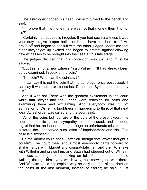The astrologer nodded his head. Wilhelm turned to the bench and said:

"If I prove that this money here was not that money, then it is not his?"

"Certainly not; but this is irregular. If you had such a witness it was your duty to give proper notice of it and have him here to—" He broke off and began to consult wth the other judges. Meantme that other lawyer got up excited and began to protest against allowing new witnesses to be brought into the case at this late stage.

The judges decided that his contention was just and must be allowed.

"But this is not a new witness," said Wilhelm. "It has already been partly examined. I speak of the coin."

"The coin? What can the coin say?"

"It can say it is not the coin that the astrologer once possessed. It can say it was not in existence last December. By its date it can say ths."

And it was so! There was the greatest excitement in the court while that lawyer and the judges were reaching for coins and examining them and exclaiming. And everybody was full of admiration of Wilhelm's brightness in happening to think of that neat dea. At last order was called and the court sad:

"All of the coins but four are of the date of the present year. The court tenders its sincere sympathy to the accused, and its deep regret that he, an innocent man, through an unfortunate mistake, has suffered the undeserved humiliation of imprisonment and trial. The case is dismissed."

So the money could speak, after all, though that lawyer thought it couldn't. The court rose, and almost everybody came forward to shake hands with Marget and congratulate her, and then to shake with Wilhelm and praise him; and Satan had stepped out of Wilhelm and was standing around looking on full of interest, and people walking through him every which way, not knowing he was there. And Wilhelm could not explain why he only thought of the date on the coins at the last moment, instead of earlier; he said it just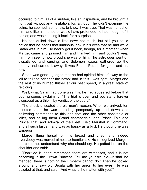occurred to him, all of a sudden, like an inspiration, and he brought it right out without any hesitation, for, although he didn't examine the coins, he seemed, somehow, to know it was true. That was honest of him, and like him; another would have pretended he had thought of it earlier, and was keeping it back for a surprise.

He had dulled down a little now; not much, but still you could notice that he hadn't that luminous look in his eyes that he had while Satan was in him. He nearly got it back, though, for a moment when Marget came and praised him and thanked him and couldn't keep him from seeing how proud she was of him. The astrologer went off dissatisfied and cursing, and Solomon Isaacs gathered up the money and carried it away. It was Father Peter's for good and all, now.

Satan was gone. I judged that he had spirited himself away to the jail to tell the prisoner the news; and in this I was right. Marget and the rest of us hurried thither at our best speed, in a great state of rejoicing.

Well, what Satan had done was this: he had appeared before that poor prisoner, exclaiming, "The trial is over, and you stand forever disgraced as a thief—by verdict of the court!"

The shock unseated the old man's reason. When we arrived, ten minutes later, he was parading pompously up and down and delivering commands to this and that and the other constable or jailer, and calling them Grand chamberlain, and Prince This and Prince That, and Admiral of the Fleet, Field Marshal in Command, and all such fustian, and was as happy as a bird. He thought he was Emperor!

Marget flung herself on his breast and cried, and indeed everybody was moved almost to heartbreak. He recognized Marget, but could not understand why she should cry. He patted her on the shoulder and said:

"Don't do it, dear; remember, there are witnesses, and it is not becoming in the Crown Princess. Tell me your trouble—it shall be mended; there is nothing the Emperor cannot do." Then he looked around and saw old Ursula wth her apron to her eyes. He was puzzled at that, and said, "And what is the matter with you?"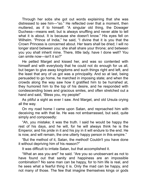Through her sobs she got out words explaining that she was distressed to see him-"so." He reflected over that a moment, then muttered, as if to himself: "A singular old thing, the Dowager Duchess—means well, but is always snuffling and never able to tell what it is about. It is because she doesn't know." His eyes fell on Wilhelm. "Prince of India," he said, "I divine that it is you that the Crown Princess is concerned about. Her tears shall be dried; I will no longer stand between you; she shall share your throne; and between you you shall inherit mine. There, little lady, have I done well? You can smile now—isn't it so?"

He petted Marget and kissed her, and was so contented with himself and with everybody that he could not do enough for us all, but began to give away kingdoms and such things right and left, and the least that any of us got was a principality. And so at last, being persuaded to go home, he marched in imposing state; and when the crowds along the way saw how it gratified him to be hurrahed at, they humored him to the top of his desire, and he responded with condescending bows and gracious smiles, and often stretched out a hand and said, "Bless you, my people!"

As pitiful a sight as ever I saw. And Marget, and old Ursula crying all the way.

On my road home I came upon Satan, and reproached him with deceiving me with that lie. He was not embarrassed, but said, quite simply and composedly:

"Ah, you mistake; it was the truth. I said he would be happy the rest of his days, and he will, for he will always think he is the Emperor, and his pride in it and his joy in it will endure to the end. He is now, and will remain, the one utterly happy person in this empire."

"But the method of t, Satan, the method! Couldn't you have done it without depriving him of his reason?"

It was difficult to irritate Satan, but that accomplished it.

"What an ass you are!" he sad. "Are you so unobservant as not to have found out that sanity and happiness are an impossible combination? No sane man can be happy, for to him life is real, and he sees what a fearful thing it is. Only the mad can be happy, and not many of those. The few that imagine themselves kings or gods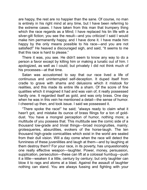are happy, the rest are no happier than the sane. Of course, no man is entirely in his right mind at any time, but I have been referring to the extreme cases. I have taken from this man that trumpery thing which the race regards as a Mind; I have replaced his tin life with a silver-gilt fiction; you see the result—and you criticize! I said I would make him permanently happy, and I have done it. I have made him happy by the only means possible to his race—and you are not satisfied!" He heaved a discouraged sigh, and said, "It seems to me that this race is hard to please."

There it was, you see. He didn't seem to know any way to do a person a favor except by killing him or making a lunatic out of him. I apologized, as well as I could; but privately I did not think much of his processes—at that time.

Satan was accustomed to say that our race lived a life of continuous and uninterrupted self-deception. It duped itself from cradle to grave with shams and delusions which it mistook for realities, and this made its entire life a sham. Of the score of fine qualities which it imagined it had and was vain of, it really possessed hardly one. It regarded itself as gold, and was only brass. One day when he was in this vein he mentioned a detail—the sense of humor. I cheered up then, and took issue. I said we possessed it.

"There spoke the race!" he said; "always ready to claim what it hasn't got, and mistake its ounce of brass filings for a ton of golddust. You have a mongrel perception of humor, nothing more; a multitude of you possess that. This multitude see the comic side of a thousand low-grade and trivial things—broad incongruities, mainly; grotesqueries, absurdities, evokers of the horse-laugh. The ten thousand high-grade comicalities which exist in the world are sealed from their dull vision. Will a day come when the race will detect the funniness of these juvenilities and laugh at them—and by laughing at them destroy them? For your race, in its poverty, has unquestionably one really effective weapon—laughter. Power, money, persuasion, supplication, persecution—these can lift at a colossal humbug—push it a little—weaken it a little, century by century; but only laughter can blow it to rags and atoms at a blast. Against the assault of laughter nothing can stand. You are always fussing and fighting with your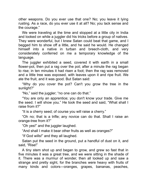other weapons. Do you ever use that one? No; you leave it lying rusting. As a race, do you ever use it at all? No; you lack sense and the courage."

We were traveling at the time and stopped at a little city in India and looked on while a juggler did his tricks before a group of natives. They were wonderful, but I knew Satan could beat that game, and I begged him to show off a little, and he said he would. He changed himself into a native in turban and breech-cloth, and very consderately conferred on me a temporary knowledge of the language.

The juggler exhibited a seed, covered it with earth in a small flower-pot, then put a rag over the pot; after a minute the rag began to rise; in ten minutes it had risen a foot; then the rag was removed and a little tree was exposed, with leaves upon it and ripe fruit. We ate the fruit, and it was good. But Satan said:

"Why do you cover the pot? Can't you grow the tree in the sunlight?"

"No," said the juggler; "no one can do that."

"You are only an apprentice; you don't know your trade. Give me the seed. I will show you." He took the seed and said, "What shall I raise from it?"

"It is a cherry seed; of course you will raise a cherry."

"Oh no; that is a trifle; any novice can do that. Shall I raise an orange-tree from it?"

"Oh yes!" and the juggler laughed.

"And shall I make it bear other fruits as well as oranges?"

"If God wlls!" and they all laughed.

Satan put the seed in the ground, put a handful of dust on it, and said, "Rise!"

A tiny stem shot up and began to grow, and grew so fast that in five minutes it was a great tree, and we were sitting in the shade of it. There was a murmur of wonder, then all looked up and saw a strange and pretty sight, for the branches were heavy with fruits of many kinds and colors—oranges, grapes, bananas, peaches,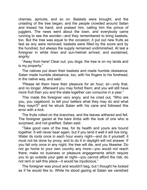cherries, apricots, and so on. Baskets were brought, and the unlading of the tree began; and the people crowded around Satan and kissed his hand, and praised him, calling him the prince of jugglers. The news went about the town, and everybody came running to see the wonder—and they remembered to bring baskets, too. But the tree was equal to the occasion; it put out new fruits as fast as any were removed; baskets were filled by the score and by the hundred, but always the supply remained undiminished. At last a foreigner in white linen and sun-helmet arrived, and exclaimed, angrily:

"Away from here! Clear out, you dogs; the tree is on my lands and is my property."

The natives put down their baskets and made humble obeisance. Satan made humble obeisance, too, with his fingers to his forehead, in the native way, and said:

"Please let them have their pleasure for an hour, sir—only that, and no longer. Afterward you may forbid them; and you will still have more fruit than you and the state together can consume in a year."

This made the foreigner very angry, and he cried out, "Who are you, you vagabond, to tell your betters what they may do and what they mayn't!" and he struck Satan with his cane and followed this error with a kick.

The fruits rotted on the branches, and the leaves withered and fell. The foreigner gazed at the bare limbs with the look of one who is surprised, and not gratified. Satan said:

"Take good care of the tree, for ts health and yours are bound together. It will never bear again, but if you tend it well it will live long. Water its roots once in each hour every night—and do it yourself; it must not be done by proxy, and to do it in daylight will not answer. If you fail only once in any night, the tree will die, and you likewise. Do not go home to your own country any more—you would not reach there; make no business or pleasure engagements which require you to go outside your gate at night—you cannot afford the risk; do not rent or sell this place—it would be injudicious."

The foreigner was proud and wouldn't beg, but I thought he looked as if he would like to. While he stood gazing at Satan we vanished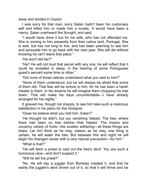away and landed in Ceylon.

I was sorry for that man; sorry Satan hadn't been his customary self and killed him or made him a lunatic. It would have been a mercy. Satan overheard the thought, and said:

"I would have done it but for his wife, who has not offended me. She is coming to him presently from their native land, Portugal. She is well, but has not long to live, and has been yearning to see him and persuade him to go back with her next year. She will die without knowng he can't leave that place."

"He won't tell her?"

"He? He will not trust that secret with any one; he will reflect that it could be revealed in sleep, in the hearing of some Portuguese quest's servant some time or other."

"Did none of those natives understand what you said to him?"

"None of them understood, but he will always be afraid that some of them did. That fear will be torture to him, for he has been a harsh master to them. In his dreams he will imagine them chopping his tree down. That will make his days uncomfortable—I have already arranged for his nights."

It grieved me, though not sharply, to see him take such a malicious satisfaction in his plans for this foreigner.

"Does he believe what you told him, Satan?"

"He thought he didn't, but our vanishing helped. The tree, where there had been no tree before—that helped. The insane and uncanny variety of fruits—the sudden withering—all these things are helps. Let him think as he may, reason as he may, one thing is certain, he will water the tree. But between this and night he will begin his changed career with a very natural precaution—for him."

"What is that?"

"He will fetch a priest to cast out the tree's devil. You are such a humorous race—and don't suspect it."

"Will he tell the priest?"

"No. He will say a juggler from Bombay created it, and that he wants the juggler's devil driven out of it, so that it will thrive and be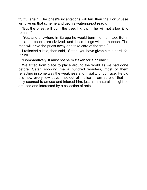fruitful again. The priest's incantations will fail; then the Portuguese will give up that scheme and get his watering-pot ready."

"But the priest will burn the tree. I know it; he will not allow it to remain."

"Yes, and anywhere in Europe he would burn the man, too. But in India the people are civilized, and these things will not happen. The man will drive the priest away and take care of the tree."

I reflected a little, then said, "Satan, you have given him a hard life, I think"

"Comparatively. It must not be mistaken for a holiday."

We flitted from place to place around the world as we had done before, Satan showing me a hundred wonders, most of them reflecting in some way the weakness and triviality of our race. He did this now every few days—not out of malice—I am sure of that—it only seemed to amuse and interest him, just as a naturalist might be amused and interested by a collection of ants.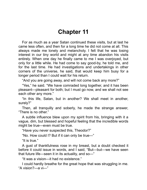## **Chapter 11**

For as much as a year Satan continued these visits, but at last he came less often, and then for a long time he did not come at all. This always made me lonely and melancholy. I felt that he was losing interest in our tiny world and might at any time abandon his visits entirely. When one day he finally came to me I was overjoyed, but only for a little while. He had come to say good-by, he told me, and for the last time. He had investigations and undertakings in other corners of the universe, he said, that would keep him busy for a longer period than I could wait for his return.

"And you are going away, and will not come back any more?"

"Yes," he said. "We have comraded long together, and it has been pleasant—pleasant for both; but I must go now, and we shall not see each other any more."

"In this life, Satan, but in another? We shall meet in another, surely?"

Then, all tranqully and soberly, he made the strange answer, "There is no other"

A subtle influence blew upon my spirit from his, bringing with it a vague, dim, but blessed and hopeful feeling that the incredible words might be true—even must be true.

"Have you never suspected this, Theodor?"

"No. How could I? But if it can only be true—"

"It is true."

A gust of thankfulness rose in my breast, but a doubt checked it before it could issue in words, and I said, "But—but—we have seen that future life—seen it in its actuality, and so— $"$ 

"It was a vision—it had no existence."

I could hardly breathe for the great hope that was struggling in me. "A vision?—a vi—"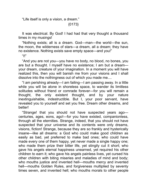"Life itself is only a vision, a dream."

{0173}

It was electrical. By God! I had had that very thought a thousand times in my musings!

"Nothing exists; all is a dream. God—man—the world—the sun, the moon, the wlderness of stars—a dream, all a dream; they have no existence. Nothing exists save empty space—and you!"

"I!"

"And you are not you—you have no body, no blood, no bones, you are but a thought. I myself have no existence; I am but a dreamyour dream, creature of your imagination. In a moment you will have realized this, then you will banish me from your visions and I shall dissolve into the nothingness out of which you made me....

"I am perishing already—I am failing—I am passing away. In a little while you will be alone in shoreless space, to wander its limitless solitudes without friend or comrade forever—for you will remain a thought, the only existent thought, and by your nature inextinguishable, indestructible. But I, your poor servant, have revealed you to yourself and set you free. Dream other dreams, and **better!** 

"Strange! that you should not have suspected years ago centuries, ages, eons, ago!-for you have existed, companionless, through all the eternities. Strange, indeed, that you should not have suspected that your universe and its contents were only dreams, visions, fiction! Strange, because they are so frankly and hysterically insane—like all dreams: a God who could make good children as easly as bad, yet preferred to make bad ones; who could have made every one of them happy, yet never made a single happy one; who made them prize their bitter life, yet stingily cut it short; who gave his angels eternal happiness unearned, yet required his other children to earn it; who gave his angels painless lives, yet cursed his other children with biting miseries and maladies of mind and body; who mouths justice and invented hell—mouths mercy and invented hell—mouths Golden Rules, and forgiveness multiplied by seventy times seven, and invented hell; who mouths morals to other people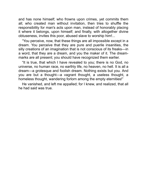and has none himself; who frowns upon crimes, yet commits them all; who created man without invitation, then tries to shuffle the responsibility for man's acts upon man, instead of honorably placing it where it belongs, upon himself; and finally, with altogether divine obtuseness, invites this poor, abused slave to worship him!...

"You perceive, now, that these things are all impossible except in a dream. You perceive that they are pure and puerile insanities, the silly creations of an imagination that is not conscious of its freaks—in a word, that they are a dream, and you the maker of it. The dreammarks are all present; you should have recognized them earlier.

"It is true, that which I have revealed to you; there is no God, no universe, no human race, no earthly life, no heaven, no hell. It is all a dream—a grotesque and foolish dream. Nothing exists but you. And you are but a thought—a vagrant thought, a useless thought, a homeless thought, wandering forlorn among the empty eternities!"

He vanished, and left me appalled; for I knew, and realized, that all he had said was true.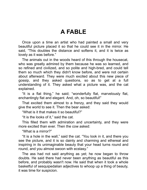# **A FABLE**

Once upon a time an artist who had painted a small and very beautiful picture placed it so that he could see it in the mirror. He said, "This doubles the distance and softens it, and it is twice as lovely as it was before."

The animals out in the woods heard of this through the housecat, who was greatly admired by them because he was so learned, and so refined and civilized, and so polite and high-bred, and could tell them so much which they didn't know before, and were not certain about afterward. They were much excited about this new piece of gossip, and they asked questions, so as to get at a full understanding of it. They asked what a picture was, and the cat explained.

"It is a flat thing," he said; "wonderfully flat, marvelously flat, enchantingly flat and elegant. And, oh, so beautiful!"

That excited them almost to a frenzy, and they said they would give the world to see it. Then the bear asked:

"What is it that makes it so beautiful?"

"It is the looks of it," said the cat.

This filled them with admiration and uncertainty, and they were more excited than ever. Then the cow asked:

"What is a mirror?"

"It is a hole in the wall," said the cat. "You look in it, and there you see the picture, and it is so dainty and charming and ethereal and inspiring in its unimaginable beauty that your head turns round and round, and you almost swoon with ecstasy."

The ass had not said anything as yet; he now began to throw doubts. He said there had never been anything as beautiful as this before, and probably wasn't now. He said that when it took a whole basketful of sesquipedalian adjectives to whoop up a thing of beauty, it was time for suspicion.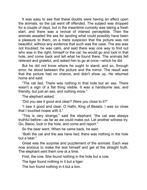It was easy to see that these doubts were having an effect upon the animals, so the cat went off offended. The subject was dropped for a couple of days, but in the meantime curiosity was taking a fresh start, and there was a revival of interest perceptible. Then the animals assailed the ass for spoiling what could possibly have been a pleasure to them, on a mere suspicion that the picture was not beautiful, without any evidence that such was the case. The ass was not troubled; he was calm, and said there was one way to find out who was in the right, himself or the cat: he would go and look in that hole, and come back and tell what he found there. The animals felt relieved and grateful, and asked him to go at once—which he did.

But he did not know where he ought to stand; and so, through error, he stood between the picture and the mirror. The result was that the picture had no chance, and didn't show up. He returned home and said:

"The cat lied. There was nothing in that hole but an ass. There wasn't a sign of a flat thing visible. It was a handsome ass, and friendly, but just an ass, and nothing more."

The elephant asked:

"Did you see it good and clear? Were you close to it?"

"I saw it good and clear, O Hathi, King of Beasts. I was so close that I touched noses with it."

"This is very strange," said the elephant; "the cat was always truthful before—as far as we could make out. Let another witness try. Go, Baloo, look in the hole, and come and report."

So the bear went. When he came back, he sad:

"Both the cat and the ass have lied; there was nothing in the hole but a bear."

Great was the surprise and puzzlement of the animals. Each was now anxious to make the test himself and get at the straight truth. The elephant sent them one at a time.

First, the cow. She found nothing in the hole but a cow.

The tiger found nothing in it but a tiger.

The lion found nothing in it but a lion.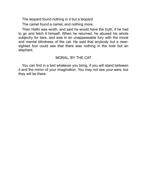The leopard found nothing in it but a leopard.

The camel found a camel, and nothing more.

Then Hathi was wroth, and said he would have the truth, if he had to go and fetch it himself. When he returned, he abused his whole subjectry for liars, and was in an unappeasable fury with the moral and mental blindness of the cat. He said that anybody but a nearsighted fool could see that there was nothing in the hole but an elephant.

#### MORAL, BY THE CAT

You can find in a text whatever you bring, if you will stand between it and the mirror of your imagination. You may not see your ears, but they will be there.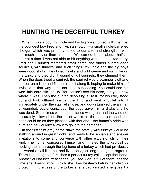# **HUNTING THE DECEITFUL TURKEY**

When I was a boy my uncle and his big boys hunted with the rifle, the youngest boy Fred and I with a shotgun—a small single-barrelled shotgun which was properly suited to our size and strength; it was not much heavier than a broom. We carried it turn about, half an hour at a time. I was not able to hit anything with it, but I liked to try. Fred and I hunted feathered small game, the others hunted deer, squirrels, wild turkeys, and such things. My uncle and the big boys were good shots. They killed hawks and wild geese and such like on the wing; and they didn't wound or kill squirrels, they stunned them. When the dogs treed a squirrel, the squirrel would scamper aloft and run out on a limb and flatten himself along it, hoping to make himself invisible in that way—and not quite succeeding. You could see his wee little ears sticking up. You couldn't see his nose, but you knew where it was. Then the hunter, despising a "rest" for his rifle, stood up and took offhand aim at the limb and sent a bullet into it immediately under the squirrel's nose, and down tumbled the animal, unwounded, but unconscious; the dogs gave him a shake and he was dead. Sometimes when the distance was great and the wind not accurately allowed for, the bullet would hit the squirrel's head; the dogs could do as they pleased with that one—the hunter's pride was hurt, and he wouldn't allow it to go into the gamebag.

In the first faint gray of the dawn the stately wild turkeys would be stalking around in great flocks, and ready to be sociable and answer invitations to come and converse with other excursionists of their kind. The hunter concealed himself and imitated the turkey-call by sucking the air through the leg-bone of a turkey which had previously answered a call like that and lived only just long enough to regret it. There is nothing that furnishes a perfect turkey-call except that bone. Another of Nature's treacheries, you see. She is full of them; half the time she doesn't know which she likes best—to betray her child or protect it. In the case of the turkey she is badly mixed: she gives it a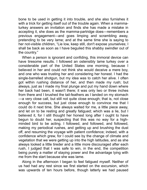bone to be used in getting it into trouble, and she also furnishes it with a trick for getting itself out of the trouble again. When a mammaturkey answers an invitation and finds she has made a mistake in accepting it, she does as the mamma-partridge does—remembers a previous engagement—and goes limping and scrambling away, pretending to be very lame; and at the same time she is saying to her not-visible children, "Lie low, keep still, don't expose yourselves; I shall be back as soon as I have beguiled this shabby swindler out of the country."

When a person is ignorant and confiding, this immoral device can have tiresome results. I followed an ostensibly lame turkey over a considerable part of the United States one morning, because I believed in her and could not think she would deceive a mere boy, and one who was trusting her and considering her honest. I had the single-barrelled shotgun, but my idea was to catch her alive. I often got within rushing distance of her, and then made my rush; but always, just as I made my final plunge and put my hand down where her back had been, it wasn't there; it was only two or three inches from there and I brushed the tal-feathers as I landed on my stomach —a very close call, but still not quite close enough; that is, not close enough for success, but just close enough to convince me that I could do it next time. She always waited for me, a little piece away, and let on to be resting and greatly fatigued; which was a lie, but I believed it, for I still thought her honest long after I ought to have begun to doubt her, suspecting that this was no way for a highminded bird to be acting. I followed, and followed, and followed, making my periodical rushes, and getting up and brushing the dust off, and resuming the voyage with patient confidence; indeed, with a confidence which grew, for I could see by the change of climate and vegetation that we were getting up into the high latitudes, and as she always looked a little tireder and a little more discouraged after each rush, I judged that I was safe to win, in the end, the competition being purely a matter of staying power and the advantage lying with me from the start because she was lame.

Along in the afternoon I began to feel fatigued myself. Neither of us had had any rest since we first started on the excursion, which was upwards of ten hours before, though latterly we had paused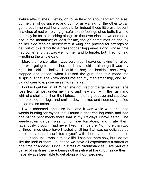awhile after rushes, I letting on to be thinking about something else; but neither of us sincere, and both of us waiting for the other to call game but in no real hurry about it, for indeed those little evanescent snatches of rest were very grateful to the feelings of us both; it would naturally be so, skirmishing along like that ever since dawn and not a bite in the meantime; at least for me, though sometimes as she lay on her side fanning herself with a wing and praying for strength to get out of this difficulty a grasshopper happened along whose time had come, and that was well for her, and fortunate, but I had nothing —nothng the whole day.

More than once, after I was very tired, I gave up taking her alive, and was going to shoot her, but I never did it, although it was my right, for I did not believe I could hit her; and besides, she always stopped and posed, when I raised the gun, and this made me suspicious that she knew about me and my marksmanship, and so I did not care to expose myself to remarks.

I did not get her, at all. When she got tired of the game at last, she rose from almost under my hand and flew aloft with the rush and whir of a shell and lit on the highest limb of a great tree and sat down and crossed her legs and smiled down at me, and seemed gratified to see me so astonished.

I was ashamed, and also lost; and it was while wandering the woods hunting for myself that I found a deserted log cabin and had one of the best meals there that in my life-days I have eaten. The weed-grown garden was full of ripe tomatoes, and I ate them ravenously, though I had never liked them before. Not more than two or three times since have I tasted anything that was so delicious as those tomatoes. I surfeited myself with them, and did not taste another one until I was in middle life. I can eat them now, but I do not like the look of them. I suppose we have all experienced a surfeit at one time or another. Once, in stress of circumstances, I ate part of a barrel of sardines, there being nothing else at hand, but since then I have always been able to get along without sardines.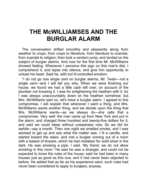## **THE McWILLIAMSES AND THE BURGLAR ALARM**

The conversation drifted smoothly and pleasantly along from weather to crops, from crops to literature, from literature to scandal, from scandal to religion; then took a random jump, and landed on the subject of burglar alarms. And now for the first time Mr. McWilliams showed feeling. Whenever I perceive this sign on this man's dial, I comprehend it, and lapse into silence, and give him opportunity to unload his heart. Said he, with but ill-controlled emotion:

"I do not go one single cent on burglar alarms, Mr. Twain—not a single cent—and I will tell you why. When we were finishing our house, we found we had a little cash left over, on account of the plumber not knowing it. I was for enlightening the heathen with it, for I was always unaccountably down on the heathen somehow; but Mrs. McWilliams said no, let's have a burglar alarm. I agreed to this compromise. I will explain that whenever I want a thing, and Mrs. McWilliams wants another thing, and we decide upon the thing that Mrs. McWilliams wants—as we always do—she calls that a compromise. Very well: the man came up from New York and put in the alarm, and charged three hundred and twenty-five dollars for it, and said we could sleep without uneasiness now. So we did for awhile—say a month. Then one night we smelled smoke, and I was advised to get up and see what the matter was. I lit a candle, and started toward the stairs, and met a burglar coming out of a room with a basket of tinware, which he had mistaken for solid silver in the dark. He was smoking a pipe. I said, 'My friend, we do not allow smoking in this room.' He said he was a stranger, and could not be expected to know the rules of the house: said he had been in many houses just as good as this one, and it had never been objected to before. He added that as far as his experience went, such rules had never been consdered to apply to burglars, anyway.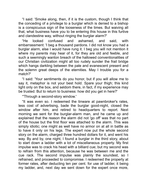"I said: 'Smoke along, then, if it is the custom, though I think that the conceding of a privilege to a burglar which is denied to a bishop is a conspicuous sign of the looseness of the times. But waiving all that, what business have you to be entering this house in this furtive and clandestine way, without ringing the burglar alarm?'

"He looked confused and ashamed, and said, with embarrassment: 'I beg a thousand pardons. I did not know you had a burglar alarm, else I would have rung it. I beg you will not mention it where my parents may hear of it, for they are old and feeble, and such a seemingly wanton breach of the hallowed conventionalities of our Christian civilization might all too rudely sunder the frail bridge which hangs darkling between the pale and evanescent present and the solemn great deeps of the eternities. May I trouble you for a match?'

"I sad: 'Your sentments do you honor, but f you wll allow me to say it, metaphor is not your best hold. Spare your thigh; this kind light only on the box, and seldom there, in fact, if my experience may be trusted. But to return to business: how did you get in here?'

"Through a second-story window.'

"It was even so. I redeemed the tinware at pawnbroker's rates, less cost of advertising, bade the burglar good-night, closed the window after him, and retired to headquarters to report. Next morning we sent for the burglar-alarm man, and he came up and explained that the reason the alarm did not 'go off' was that no part of the house but the first floor was attached to the alarm. This was simply idiotic; one might as well have no armor on at all in battle as to have it only on his legs. The expert now put the whole second story on the alarm, charged three hundred dollars for it, and went his way. By and by, one night, I found a burglar in the third story, about to start down a ladder with a lot of miscellaneous property. My first impulse was to crack his head with a billiard cue; but my second was to refrain from this attention, because he was between me and the cue rack. The second mpulse was planly the soundest, so I refrained, and proceeded to compromise. I redeemed the property at former rates, after deducting ten per cent. for use of ladder, it being my ladder, and, next day we sent down for the expert once more,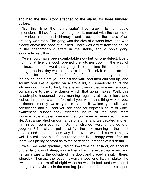and had the third story attached to the alarm, for three hundred dollars.

"By this time the 'annunciator' had grown to formidable dimensions. It had forty-seven tags on it, marked with the names of the various rooms and chimneys, and it occupied the space of an ordinary wardrobe. The gong was the size of a wash-bowl, and was placed above the head of our bed. There was a wire from the house to the coachman's quarters in the stable, and a noble gong alongside his pillow.

"We should have been comfortable now but for one defect. Every morning at five the cook opened the kitchen door, in the way of business, and rip went that gong! The first time this happened I thought the last day was come sure. I didn't think it in bed—no, but out of it—for the first effect of that frightful gong is to hurl you across the house, and slam you against the wall, and then curl you up, and squirm you like a spider on a stove lid, till somebody shuts the kitchen door. In solid fact, there is no clamor that is even remotely comparable to the dire clamor which that gong makes. Well, this catastrophe happened every morning regularly at five o'clock, and lost us three hours sleep; for, mind you, when that thing wakes you, it doesn't merely wake you in spots; it wakes you all over, conscience and all, and you are good for eighteen hours of wideawakeness subsequently—eighteen hours of the very most inconceivable wide-awakeness that you ever experienced in your life. A stranger died on our hands one time, and we vacated and left him in our room overnight. Did that stranger wait for the general judgment? No, sir; he got up at five the next morning in the most prompt and unostentatious way. I knew he would; I knew it mighty well. He collected his life-insurance, and lived happy ever after, for there was plenty of proof as to the perfect squareness of his death.

"Well, we were gradually fading toward a better land, on account of the daily loss of sleep; so we finally had the expert up again, and he ran a wire to the outside of the door, and placed a switch there, whereby Thomas, the butler, always made one little mistake—he switched the alarm off at night when he went to bed, and switched it on again at daybreak in the morning, just in time for the cook to open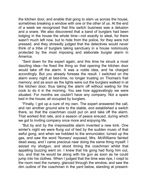the kitchen door, and enable that gong to slam us across the house, sometimes breaking a window with one or the other of us. At the end of a week we recognized that this switch business was a delusion and a snare. We also discovered that a band of burglars had been lodging in the house the whole time—not exactly to steal, for there wasn't much left now, but to hide from the police, for they were hot pressed, and they shrewdly judged that the detectives would never think of a tribe of burglars taking sanctuary in a house notoriously protected by the most imposing and elaborate burglar alarm in America

"Sent down for the expert again, and this time he struck a most dazzling idea—he fixed the thing so that opening the kitchen door would take off the alarm. It was a noble idea, and he charged accordingly. But you already foresee the result. I switched on the alarm every night at bed-time, no longer trusting on Thomas's frail memory; and as soon as the lights were out the burglars walked in at the kitchen door, thus taking the alarm off without waiting for the cook to do it in the morning. You see how aggravatingly we were situated. For months we couldn't have any company. Not a spare bed in the house; all occupied by burglars.

"Fnally, I got up a cure of my own. The expert answered the call, and ran another ground wire to the stable, and established a switch there, so that the coachman could put on and take off the alarm. That worked first rate, and a season of peace ensued, during which we got to inviting company once more and enjoying life.

"But by and by the irrepressible alarm invented a new kink. One winter's night we were flung out of bed by the sudden music of that awful gong, and when we hobbled to the annunciator, turned up the gas, and saw the word 'Nursery' exposed, Mrs. McWilliams fainted dead away, and I came precious near doing the same thing myself. I seized my shotgun, and stood timing the coachman whilst that appalling buzzing went on. I knew that his gong had flung him out, too, and that he would be along with his gun as soon as he could jump into his clothes. When I judged that the time was ripe, I crept to the room next the nursery, glanced through the window, and saw the dim outline of the coachman in the yard below, standing at present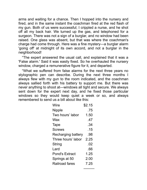arms and waiting for a chance. Then I hopped into the nursery and fired, and in the same instant the coachman fired at the red flash of my gun. Both of us were successful; I crippled a nurse, and he shot off all my back hair. We turned up the gas, and telephoned for a surgeon. There was not a sign of a burglar, and no window had been raised. One glass was absent, but that was where the coachman's charge had come through. Here was a fine mystery—a burglar alarm 'going off' at midnight of its own accord, and not a burglar in the neighborhood!

"The expert answered the usual call, and explained that it was a 'False alarm.' Said it was easily fixed. So he overhauled the nursery window, charged a remunerative figure for it, and departed.

"What we suffered from false alarms for the next three years no stylographic pen can describe. During the next three months I always flew with my gun to the room indicated, and the coachman always sallied forth with his battery to support me. But there was never anything to shoot at—windows all tight and secure. We always sent down for the expert next day, and he fixed those particular windows so they would keep quiet a week or so, and always remembered to send us a bill about like this:

| Wire                  | \$2.15 |
|-----------------------|--------|
| Nipple                | .75    |
| Two hours' labor      | 1.50   |
| Wax                   | .47    |
| Tape                  | .34    |
| <b>Screws</b>         | .15    |
| Recharging battery    | .98    |
| Three hours' labor    | 2.25   |
| String                | .02    |
| Lard                  | .66    |
| <b>Pond's Extract</b> | 1.25   |
| Springs at 50         | 2.00   |
| Railroad fares        | 7.25   |
|                       |        |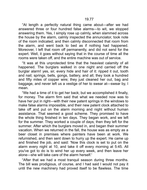"At length a perfectly natural thing came about—after we had answered three or four hundred false alarms-to wit, we stopped answering them. Yes, I simply rose up calmly, when slammed across the house by the alarm, calmly inspected the annunciator, took note of the room indicated; and then calmly disconnected that room from the alarm, and went back to bed as if nothing had happened. Moreover, I left that room off permanently, and did not send for the expert. Well, it goes without saying that in the course of time all the

"It was at this unprotected time that the heaviest calamity of all happened. The burglars walked in one night and carried off the burglar alarm! yes, sir, every hide and hair of it: ripped it out, tooth and nail; springs, bells, gongs, battery, and all; they took a hundred and fifty miles of copper wire; they just cleaned her out, bag and baggage, and never left us a vestige of her to swear at—swear by, I mean.

rooms were taken off, and the entire machine was out of service.

"We had a time of it to get her back; but we accomplished it finally, for money. The alarm firm said that what we needed now was to have her put in right—with their new patent springs in the windows to make false alarms impossible, and their new patent clock attached to take off and put on the alarm morning and night without human assistance. That seemed a good scheme. They promised to have the whole thing finished in ten days. They began work, and we left for the summer. They worked a couple of days; then they left for the summer. After which the burglars moved in, and began their summer vacation. When we returned in the fall, the house was as empty as a beer closet in premises where painters have been at work. We refurnished, and then sent down to hurry up the expert. He came up and finished the job, and said: 'Now this clock is set to put on the alarm every night at 10, and take it off every morning at 5:45. All you've got to do is to wind her up every week, and then leave her alone—she will take care of the alarm herself.'

"After that we had a most tranquil season during three months. The bill was prodigious, of course, and I had said I would not pay it until the new machinery had proved itself to be flawless. The time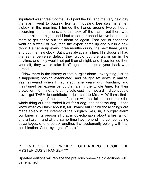stipulated was three months. So I paid the bill, and the very next day the alarm went to buzzing like ten thousand bee swarms at ten o'clock in the morning. I turned the hands around twelve hours, according to instructions, and this took off the alarm; but there was another hitch at night, and I had to set her ahead twelve hours once more to get her to put the alarm on again. That sort of nonsense went on a week or two, then the expert came up and put in a new clock. He came up every three months during the next three years, and put in a new clock. But it was always a failure. His clocks all had the same perverse defect: they would put the alarm on in the daytime, and they would not put it on at night; and if you forced it on yourself, they would take it off again the minute your back was turned.

"Now there is the history of that burglar alarm—everything just as it happened; nothing extenuated, and naught set down in malice. Yes, sir,—and when I had slept nine years with burglars, and maintained an expensive burglar alarm the whole time, for their protection, not mine, and at my sole cost—for not a d—-d cent could I ever get THEM to contribute—I just said to Mrs. McWilliams that I had had enough of that kind of pie; so with her full consent I took the whole thing out and traded it off for a dog, and shot the dog. I don't know what you think about it, Mr. Twain; but I think those things are made solely in the interest of the burglars. Yes, sir, a burglar alarm combines in its person all that is objectionable about a fire, a riot, and a harem, and at the same time had none of the compensating advantages, of one sort or another, that customarily belong with that combination. Good-by: I get off here."

#### \*\*\* END OF THE PROJECT GUTENBERG EBOOK THE MYSTERIOUS STRANGER \*\*\*

Updated editions will replace the previous one—the old editions will be renamed.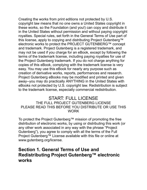Creating the works from print editions not protected by U.S. copyright law means that no one owns a United States copyright in these works, so the Foundation (and you!) can copy and distribute it in the United States without permission and without paying copyright royalties. Special rules, set forth in the General Terms of Use part of this license, apply to copying and distributing Project Gutenberg™ electronic works to protect the PROJECT GUTENBERG™ concept and trademark. Project Gutenberg is a registered trademark, and may not be used if you charge for an eBook, except by following the terms of the trademark license, including paying royalties for use of the Project Gutenberg trademark. If you do not charge anything for copies of this eBook, complying with the trademark license is very easy. You may use this eBook for nearly any purpose such as creation of derivative works, reports, performances and research. Project Gutenberg eBooks may be modified and printed and given away--you may do practically ANYTHING in the United States with eBooks not protected by U.S. copyright law. Redistribution is subject to the trademark license, especially commercial redistribution.

#### START: FULL LICENSE THE FULL PROJECT GUTENBERG LICENSE PLEASE READ THIS BEFORE YOU DISTRIBUTE OR USE THIS WORK

To protect the Project Gutenberg™ mission of promoting the free distribution of electronic works, by using or distributing this work (or any other work associated in any way with the phrase "Project Gutenberg"), you agree to comply wth all the terms of the Full Project Gutenberg™ License available with this file or online at www.gutenberg.org/license.

### **Secton 1. General Terms of Use and Redistributing Project Gutenberg™ electronic works**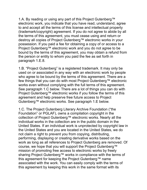1.A. By reading or using any part of this Project Gutenberg™ electronic work, you indicate that you have read, understand, agree to and accept all the terms of this license and intellectual property (trademark/copyrght) agreement. If you do not agree to abde by all the terms of this agreement, you must cease using and return or destroy all copies of Project Gutenberg™ electronic works in your possession. If you paid a fee for obtaining a copy of or access to a Project Gutenberg™ electronic work and you do not agree to be bound by the terms of this agreement, you may obtain a refund from the person or entity to whom you paid the fee as set forth in paragraph 1.E.8.

1.B. "Project Gutenberg" is a registered trademark. It may only be used on or associated in any way with an electronic work by people who agree to be bound by the terms of this agreement. There are a few things that you can do with most Project Gutenberg™ electronic works even without complying with the full terms of this agreement. See paragraph 1.C below. There are a lot of things you can do with Project Gutenberg™ electronic works if you follow the terms of this agreement and help preserve free future access to Project Gutenberg™ electronic works. See paragraph 1.E below.

1.C. The Project Gutenberg Literary Archive Foundation ("the Foundation" or PGLAF), owns a compilation copyright in the collection of Project Gutenberg™ electronic works. Nearly all the individual works in the collection are in the public domain in the United States. If an individual work is unprotected by copyright law in the United States and you are located in the United States, we do not claim a right to prevent you from copying, distributing, performing, displaying or creating derivative works based on the work as long as all references to Project Gutenberg are removed. Of course, we hope that you will support the Project Gutenberg™ mission of promoting free access to electronic works by freely sharing Project Gutenberg™ works in compliance with the terms of this agreement for keeping the Project Gutenberg™ name associated with the work. You can easily comply with the terms of this agreement by keeping this work in the same format with its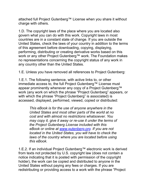attached full Project Gutenberg™ License when you share it without charge with others.

1.D. The copyright laws of the place where you are located also govern what you can do with this work. Copyright laws in most countries are in a constant state of change. If you are outside the United States, check the laws of your country in addition to the terms of this agreement before downloading, copying, displaying, performing, distributing or creating derivative works based on this work or any other Project Gutenberg™ work. The Foundation makes no representations concerning the copyright status of any work in any country other than the United States.

1.E. Unless you have removed all references to Project Gutenberg:

1.E.1. The following sentence, with active links to, or other immediate access to, the full Project Gutenberg™ License must appear prominently whenever any copy of a Project Gutenberg™ work (any work on which the phrase "Project Gutenberg" appears, or with which the phrase "Project Gutenberg" is associated) is accessed, displayed, performed, viewed, copied or distributed:

> *This eBook is for the use of anyone anywhere in the Unted States and most other parts of the world at no cost and wth almost no restrctons whatsoever. You may copy it, give it away or re-use it under the terms of the Project Gutenberg Lcense ncluded wth ths eBook or onlne at [www.gutenberg.org](https://www.gutenberg.org/). If you are not located in the United States, you will have to check the laws of the country where you are located before usng ths eBook.*

1.E.2. If an individual Project Gutenberg™ electronic work is derived from texts not protected by U.S. copyright law (does not contain a notice indicating that it is posted with permission of the copyright holder), the work can be copied and distributed to anyone in the United States without paying any fees or charges. If you are redistributing or providing access to a work with the phrase "Project"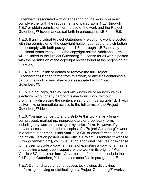Gutenberg" associated with or appearing on the work, you must comply either with the requirements of paragraphs 1.E.1 through 1.E.7 or obtain permission for the use of the work and the Project Gutenberg™ trademark as set forth in paragraphs 1.E.8 or 1.E.9.

1.E.3. If an individual Project Gutenberg™ electronic work is posted with the permission of the copyright holder, your use and distribution must comply wth both paragraphs 1.E.1 through 1.E.7 and any additional terms imposed by the copyright holder. Additional terms will be linked to the Project Gutenberg™ License for all works posted with the permission of the copyright holder found at the beginning of this work.

1.E.4. Do not unlnk or detach or remove the full Project Gutenberg™ License terms from this work, or any files containing a part of this work or any other work associated with Project Gutenberg™.

1.E.5. Do not copy, display, perform, distribute or redistribute this electronic work, or any part of this electronic work, without prominently displaying the sentence set forth in paragraph 1.E.1 with active links or immediate access to the full terms of the Project Gutenberg™ License.

1.E.6. You may convert to and distribute this work in any binary, compressed, marked up, nonproprietary or proprietary form, including any word processing or hypertext form. However, if you provide access to or distribute copies of a Project Gutenberg™ work in a format other than "Plain Vanilla ASCII" or other format used in the official version posted on the official Project Gutenberg™ website (www.gutenberg.org), you must, at no additional cost, fee or expense to the user, provide a copy, a means of exporting a copy, or a means of obtaining a copy upon request, of the work in its original "Plain" Vanilla ASCII" or other form. Any alternate format must include the full Project Gutenberg™ License as specified in paragraph 1.E.1.

1.E.7. Do not charge a fee for access to, viewing, displaying, performing, copying or distributing any Project Gutenberg™ works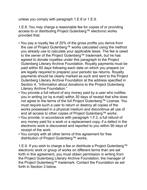unless you comply wth paragraph 1.E.8 or 1.E.9.

1.E.8. You may charge a reasonable fee for copies of or providing access to or distributing Project Gutenberg™ electronic works provided that:

- You pay a royalty fee of 20% of the gross profits you derive from the use of Project Gutenberg™ works calculated using the method you already use to calculate your applicable taxes. The fee is owed to the owner of the Project Gutenberg™ trademark, but he has agreed to donate royalties under this paragraph to the Project Gutenberg Literary Archive Foundation. Royalty payments must be paid within 60 days following each date on which you prepare (or are legally required to prepare) your periodic tax returns. Royalty payments should be clearly marked as such and sent to the Project Gutenberg Literary Archive Foundation at the address specified in Section 4, "Information about donations to the Project Gutenberg Literary Archive Foundation."
- You provide a full refund of any money paid by a user who notifies you in writing (or by e-mail) within 30 days of receipt that s/he does not agree to the terms of the full Project Gutenberg™ License. You must require such a user to return or destroy all copies of the works possessed in a physical medium and discontinue all use of and all access to other copies of Project Gutenberg™ works.
- You provide, in accordance with paragraph 1.F.3, a full refund of any money paid for a work or a replacement copy, if a defect in the electronic work is discovered and reported to you within 90 days of receipt of the work.
- You comply with all other terms of this agreement for free distribution of Project Gutenberg™ works.

1.E.9. If you wish to charge a fee or distribute a Project Gutenberg™ electronic work or group of works on different terms than are set forth in this agreement, you must obtain permission in writing from the Project Gutenberg Literary Archive Foundation, the manager of the Project Gutenberg™ trademark. Contact the Foundation as set forth in Section 3 below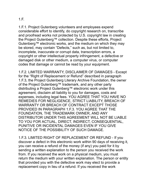1.F.

1.F.1. Project Gutenberg volunteers and employees expend considerable effort to identify, do copyright research on, transcribe and proofread works not protected by U.S. copyright law in creating the Project Gutenberg™ collection. Despite these efforts, Project Gutenberg™ electronic works, and the medium on which they may be stored, may contain "Defects," such as, but not limited to, incomplete, inaccurate or corrupt data, transcription errors, a copyright or other intellectual property infringement, a defective or damaged disk or other medium, a computer virus, or computer codes that damage or cannot be read by your equpment.

1.F.2. LIMITED WARRANTY, DISCLAIMER OF DAMAGES - Except for the "Right of Replacement or Refund" described in paragraph 1.F.3, the Project Gutenberg Literary Archive Foundation, the owner of the Project Gutenberg™ trademark, and any other party distributing a Project Gutenberg™ electronic work under this agreement, disclaim all liability to you for damages, costs and expenses, including legal fees. YOU AGREE THAT YOU HAVE NO REMEDIES FOR NEGLIGENCE, STRICT LIABILITY, BREACH OF WARRANTY OR BREACH OF CONTRACT EXCEPT THOSE PROVIDED IN PARAGRAPH 1.F.3. YOU AGREE THAT THE FOUNDATION, THE TRADEMARK OWNER, AND ANY DISTRIBUTOR UNDER THIS AGREEMENT WILL NOT BE LIABLE TO YOU FOR ACTUAL, DIRECT, INDIRECT, CONSEQUENTIAL, PUNITIVE OR INCIDENTAL DAMAGES EVEN IF YOU GIVE NOTICE OF THE POSSIBILITY OF SUCH DAMAGE.

1.F.3. LIMITED RIGHT OF REPLACEMENT OR REFUND - If you discover a defect in this electronic work within 90 days of receiving it, you can receive a refund of the money (if any) you paid for it by sending a written explanation to the person you received the work from. If you received the work on a physical medium, you must return the medium with your written explanation. The person or entity that provided you with the defective work may elect to provide a replacement copy in lieu of a refund. If you received the work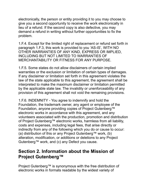electronically, the person or entity providing it to you may choose to give you a second opportunity to receive the work electronically in lieu of a refund. If the second copy is also defective, you may demand a refund in writing without further opportunities to fix the problem.

1.F.4. Except for the limited right of replacement or refund set forth in paragraph 1.F.3, this work is provided to you 'AS-IS', WITH NO OTHER WARRANTIES OF ANY KIND, EXPRESS OR IMPLIED, INCLUDING BUT NOT LIMITED TO WARRANTIES OF MERCHANTABILITY OR FITNESS FOR ANY PURPOSE.

1.F.5. Some states do not allow disclaimers of certain implied warranties or the exclusion or limitation of certain types of damages. If any disclaimer or limitation set forth in this agreement violates the law of the state applicable to this agreement, the agreement shall be interpreted to make the maximum disclaimer or limitation permitted by the applicable state law. The invalidity or unenforceability of any provision of this agreement shall not void the remaining provisions.

1.F.6. INDEMNITY - You agree to indemnify and hold the Foundation, the trademark owner, any agent or employee of the Foundation, anyone providing copies of Project Gutenberg™ electronic works in accordance with this agreement, and any volunteers associated with the production, promotion and distribution of Project Gutenberg™ electronic works, harmless from all liability, costs and expenses, including legal fees, that arise directly or indirectly from any of the following which you do or cause to occur:  $(a)$  distribution of this or any Project Gutenberg™ work,  $(b)$ alteration, modification, or additions or deletions to any Project Gutenberg™ work, and (c) any Defect you cause.

## **Section 2. Information about the Mission of Project Gutenberg™**

Project Gutenberg™ is synonymous with the free distribution of electronic works in formats readable by the widest variety of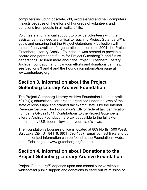computers including obsolete, old, middle-aged and new computers. It exists because of the efforts of hundreds of volunteers and donations from people in all walks of life.

Volunteers and financial support to provide volunteers with the assistance they need are critical to reaching Project Gutenberg™'s goals and ensuring that the Project Gutenberg™ collection will remain freely available for generations to come. In 2001, the Project Gutenberg Literary Archive Foundation was created to provide a secure and permanent future for Project Gutenberg™ and future generations. To learn more about the Project Gutenberg Literary Archive Foundation and how your efforts and donations can help, see Sections 3 and 4 and the Foundation information page at www.gutenberg.org.

## **Section 3. Information about the Project Gutenberg Literary Archive Foundation**

The Project Gutenberg Literary Archive Foundation is a non-profit  $501(c)(3)$  educational corporation organized under the laws of the state of Mississippi and granted tax exempt status by the Internal Revenue Service. The Foundation's EIN or federal tax identification number is 64-6221541. Contributions to the Project Gutenberg Literary Archive Foundation are tax deductible to the full extent permtted by U.S. federal laws and your state's laws.

The Foundation's business office is located at 809 North 1500 West. Salt Lake City, UT 84116, (801) 596-1887. Email contact links and up to date contact information can be found at the Foundation's website and official page at www.gutenberg.org/contact

### **Section 4. Information about Donations to the Project Gutenberg Literary Archive Foundation**

Project Gutenberg™ depends upon and cannot survive without widespread public support and donations to carry out its mission of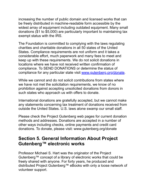increasing the number of public domain and licensed works that can be freely distributed in machine-readable form accessible by the widest array of equipment including outdated equipment. Many small donations (\$1 to \$5,000) are particularly important to maintaining tax exempt status with the IRS.

The Foundation is committed to complying with the laws regulating charities and charitable donations in all 50 states of the United States. Compliance requirements are not uniform and it takes a consderable effort, much paperwork and many fees to meet and keep up with these requirements. We do not solicit donations in locations where we have not received written confirmation of compliance. To SEND DONATIONS or determine the status of compliance for any particular state visit [www.gutenberg.org/donate.](https://www.gutenberg.org/donate/)

While we cannot and do not solicit contributions from states where we have not met the solicitation requirements, we know of no prohibition against accepting unsolicited donations from donors in such states who approach us with offers to donate.

International donations are gratefully accepted, but we cannot make any statements concerning tax treatment of donations received from outside the United States. U.S. laws alone swamp our small staff.

Please check the Project Gutenberg web pages for current donation methods and addresses. Donations are accepted in a number of other ways including checks, online payments and credit card donations. To donate, please visit: www.gutenberg.org/donate

### **Section 5. General Information About Project** Gutenberg<sup>™</sup> electronic works

Professor Michael S. Hart was the originator of the Project Gutenberg™ concept of a library of electronic works that could be freely shared wth anyone. For forty years, he produced and distributed Project Gutenberg™ eBooks with only a loose network of volunteer support.